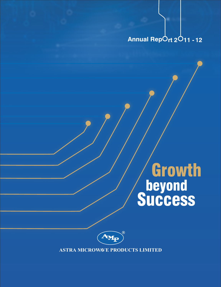# **Annual RepOrt 2 011 - 12**

# **Growth** beyond **Success**



**ASTRA MICROWAVE PRODUCTS LIMITED**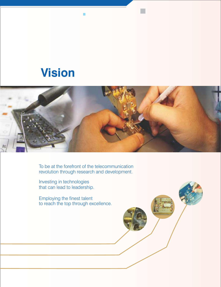# **Vision**



To be at the forefront of the telecommunication revolution through research and development.

 $\mathcal{L}_{\mathcal{A}}$ 

Investing in technologies that can lead to leadership.

Employing the finest talent to reach the top through excellence.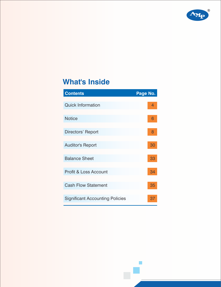

# **What's Inside**

| <b>Contents</b>                        | Page No. |
|----------------------------------------|----------|
|                                        |          |
| <b>Quick Information</b>               | 4        |
| <b>Notice</b>                          | 6        |
| Directors' Report                      | 8        |
| <b>Auditor's Report</b>                | 30       |
| <b>Balance Sheet</b>                   | 33       |
| <b>Profit &amp; Loss Account</b>       | 34       |
| <b>Cash Flow Statement</b>             | 35       |
| <b>Significant Accounting Policies</b> | 37       |

T.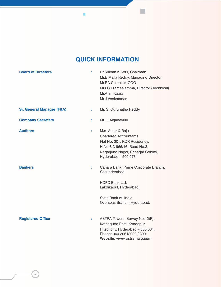# **QUICK INFORMATION**

| <b>Board of Directors</b>            | ÷  | Dr.Shiban K Koul, Chairman<br>Mr.B.Malla Reddy, Managing Director<br>Mr.P.A.Chitrakar, COO<br>Mrs.C.Prameelamma, Director (Technical)<br>Mr. Atim Kabra<br>Mr.J.Venkatadas    |
|--------------------------------------|----|-------------------------------------------------------------------------------------------------------------------------------------------------------------------------------|
| <b>Sr. General Manager (F&amp;A)</b> | t. | Mr. S. Gurunatha Reddy                                                                                                                                                        |
| <b>Company Secretary</b>             | t  | Mr. T. Anjaneyulu                                                                                                                                                             |
| <b>Auditors</b>                      | ÷. | M/s. Amar & Raju<br><b>Chartered Accountants</b><br>Flat No: 201, KOR Residency,<br>H.No:8-3-966/16, Road No:3,<br>Nagarjuna Nagar, Srinagar Colony,<br>Hyderabad $-500073$ . |
| <b>Bankers</b>                       | t  | Canara Bank, Prime Corporate Branch,<br>Secunderabad                                                                                                                          |
|                                      |    | <b>HDFC Bank Ltd.</b><br>Lakdikapul, Hyderabad.                                                                                                                               |
|                                      |    | State Bank of India<br>Overseas Branch, Hyderabad.                                                                                                                            |
| <b>Registered Office</b>             | ÷  | ASTRA Towers, Survey No.12(P),<br>Kothaguda Post, Kondapur,<br>Hitechcity, Hyderabad - 500 084.<br>Phone: 040-30618000 / 8001<br>Website: www.astramwp.com                    |

4

 $\overline{\phantom{a}}$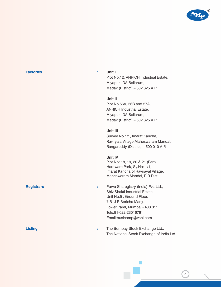

| <b>Factories</b>  | t. | Unit I<br>Plot No.12, ANRICH Industrial Estate,<br>Miyapur, IDA Bollarum,<br>Medak (District) - 502 325 A.P.<br>Unit II<br>Plot No.56A, 56B and 57A,<br><b>ANRICH Industrial Estate,</b><br>Miyapur, IDA Bollarum,<br>Medak (District) - 502 325 A.P. |
|-------------------|----|-------------------------------------------------------------------------------------------------------------------------------------------------------------------------------------------------------------------------------------------------------|
|                   |    | Unit III<br>Survey No.1/1, Imarat Kancha,<br>Raviryala Village, Maheswaram Mandal,<br>Rangareddy (District) - 500 010 A.P.                                                                                                                            |
|                   |    | Unit IV<br>Plot No: 18, 19, 20 & 21 (Part)<br>Hardware Park, Sy.No: 1/1,<br>Imarat Kancha of Ravirayal Village,<br>Maheswaram Mandal, R.R.Dist.                                                                                                       |
| <b>Registrars</b> | t  | Purva Sharegistry (India) Pvt. Ltd.,<br>Shiv Shakti Industrial Estate,<br>Unit No.9, Ground Floor,<br>7 B J R Boricha Marg,<br>Lower Parel, Mumbai - 400 011<br>Tele: 91-022-23016761<br>Email:busicomp@vsnl.com                                      |
| <b>Listing</b>    | t  | The Bombay Stock Exchange Ltd.,                                                                                                                                                                                                                       |

The National Stock Exchange of India Ltd.

لمشاركه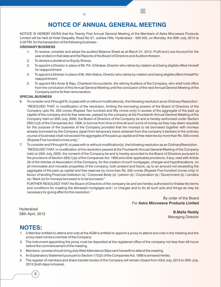# **NOTICE OF ANNUAL GENERAL MEETING**

 $\mathcal{L}_{\mathcal{A}}$ 

NOTICE IS HEREBY GIVEN that the Twenty First Annual General Meeting of the Members of Astra Microwave Products Limited will be held at Hotel Daspalla, Road No:37, Jubilee Hills, Hyderabad – 500 033, on Monday, the 30th July, 2012 at 3.00 P.M. for the transaction of the following business:-

#### **ORDINARY BUSINESS**

- 1. To receive, consider and adopt the audited Balance Sheet as at March 31, 2012, Profit and Loss Account for the year ended on that date and the Reports of the Board of Directors and Auditors thereon.
- 2. To declare a dividend on Equity Shares.
- 3. To appoint a Director in place of Mr. P.A. Chitrakar, Director who retires by rotation and being eligible offers himself for reappointment.
- 4. To appoint a Director in place of Mr. Atim Kabra, Director who retires by rotation and being eligible offers himself for reappointment.
- 5. To appoint M/s Amar & Raju, Chartered Accountants, the retiring Auditors of the Company, who shall hold office from the conclusion of this Annual General Meeting until the conclusion of the next Annual General Meeting of the Company and to fix their remuneration.

#### **SPECIAL BUSINESS**

- 6. To consider and if thought fit, to pass with or without modification(s), the following resolution as an Ordinary Resolution: "RESOLVED THAT, in modification of the resolution, limiting the borrowing powers of the Board of Directors of the Company upto Rs. 250 crores (Rupees Two hundred and fifty crores only) in excess of the aggregate of the paid up capital of the company and its free reserves, passed by the company at the Fourteenth Annual General Meeting of the Company held on 25th July, 2005, the Board of Directors of the Company be and is hereby authorized under Section 293(1)(d) of the Companies Act, 1956, to borrow from time to time all such sums of money as they may deem requisite for the purpose of the business of the Company provided that the moneys to be borrowed together with moneys already borrowed by the Company (apart from temporary loans obtained from the company's bankers in the ordinary course of business) shall not exceed the aggregate of the paid up capital and free reserves by more than Rs. 500 crores (Rupees Five hundred crores only)."
- 7. To consider and if thought fit, to pass with or without modification(s), the following resolution as an OrdinaryResolution: "RESOLVED THAT, in modification of the resolution passed at the Fourteenth Annual General Meeting of the Company held on 25th July, 2005, the consent of the Company be and is hereby accorded to the Board of Directors pursuant to the provisions of Section 293(1)(a) of the Companies Act, 1956 and other applicable provisions, if any, read with Article 32 of the Articles of Association of the Company, for the creation of such mortgages, charges and hypothecations, on all immovable and movable properties of the company, both present and future, up to an amount not exceeding the aggregate of the paid up capital and free reserves by more than Rs. 500 crores (Rupees Five hundred crores only) in favour of lending Financial Institution (s) / Corporate Body (s) / person (s) / Corporation (s) / Government (s) / Lenders (s) / Bank (s) for moneys borrowed or to be borrowed."

FURTHER RESOLVED THAT the Board of Directors of the company be and are hereby authorized to finalise the terms and conditions for creating the aforesaid mortgages and / or charges and to do all such acts and things as may be necessary for giving effect to this resolution."

> By order of the Board For **Astra Microwave Products Limited**

Hyderabad

26th April, 2012 **B.Malla Reddy** Managing Director

#### **NOTES:**

- 1. A Member entitled to attend and vote at the AGM is entitled to appoint a proxy to attend and vote in the meeting and the proxy need not be a member of the Company.
- 2. The instrument appointing the proxy must be deposited at the registered office of the company not less than 48 hours before the commencement of the meeting.
- 3. Members / proxies should bring duly filled Attendance Slips sent herewith to attend the meeting.
- 4. An Explanatory Statement pursuant to Section 173(2) of the Companies Act, 1956 is annexed hereto.
- 5. The register of members and share transfer books of the Company will remain closed from 23rd July, 2012 to 30th July, 2012 (both days inclusive).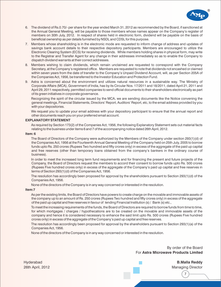

- 6. The dividend of Rs.0.70/- per share for the year ended March 31, 2012 as recommended by the Board, if sanctioned at the Annual General Meeting, will be payable to those members whose names appear on the Company's register of members on 30th July, 2012. In respect of shares held in electronic form, dividend will be payable on the basis of beneficial ownership as per details furnished by NSDL and CDSL for this purpose.
- 7. Members whose shareholding is in the electronic mode are requested to inform change of address and updates of savings bank account details to their respective depository participants. Members are encouraged to utilize the Electronic Clearing System (ECS) for receiving dividends. While members holding shares in physical form, may write to the Registrar and Transfer Agent for any change in their addresses immediately so as to enable the Company to dispatch dividend warrants at their correct addresses.
- 8. Members wishing to claim dividends, which remain unclaimed are requested to correspond with the Company Secretary, at the Company's registered office. Members are requested to note that dividends not encashed or claimed within seven years from the date of transfer to the Company's Unpaid Dividend Account, will, as per Section 205A of the Companies Act, 1956, be transferred to the Investor Education and Protection Fund.
- 9. Astra is concerned about the environment and utilizes natural resources in a sustainable way. The Ministry of Corporate Affairs (MCA), Government of India, has by its Circular Nos. 17/2011 and 18/2011, dated April 21, 2011 and April 29, 2011 respectively, permitted companies to send official documents to their shareholders electronically as part of its green initiatives in corporate governance.

Recognizing the spirit of the circular issued by the MCA, we are sending documents like the Notice convening the general meetings, Financial Statements, Directors' Report, Auditors' Report, etc, to the email address provided by you with your depositories.

We request you to update your email address with your depository participant to ensure that the annual report and other documents reach you on your preferred email account.

#### **EXPLANATORY STATEMENT**

As required by Section 173(2) of the Companies Act, 1956, the following Explanatory Statement sets out material facts relating to the business under items 6 and 7 of the accompanying notice dated 26th April, 2012.

#### **Item: 6**

The Board of Directors of the Company were authorized by the Members of the Company under section 293(1)(d) of the Companies Act, 1956 at the Fourteenth Annual General Meeting of the Company held on 25th July, 2005 to borrow funds upto Rs. 250 crores (Rupees Two hundred and fifty crores only) in excess of the aggregate of the paid up capital and free reserves (other than temporary loans obtained from the company's bankers in the ordinary course of business).

In order to meet the increased long term fund requirements and for financing the present and future projects of the Company, the Board of Directors request the members to accord their consent to borrow funds upto Rs. 500 crores (Rupees Five hundred crores only) in excess of the aggregate of the Company's paid up capital and free reserves in terms of Section 293(1)(d) of the Companies Act, 1956.

The resolution has accordingly been proposed for approval by the shareholders pursuant to Section 293(1)(d) of the Companies Act, 1956.

None of the directors of the Company is in any way concerned or interested in the resolution.

#### **Item:7**

As per the existing limits, the Board of Directors have powers to create charge on the movable and immovable assets of the company up to an amount of Rs. 250 crores (Rupees Two hundred and fifty crores only) in excess of the aggregate of the paid up capital and free reserves in favour of lending Financial Institution (s) / Bank (s) etc.,

To meet the increasing requirements of the funds, the Board of Directors are required to borrow funds from time to time, for which mortgages / charges / hypothecations are to be created on the movable and immovable assets of the company and hence it is considered necessary to enhance the said limit upto Rs. 500 crores (Rupees Five hundred crores only) in excess of the aggregate of the Company's paid up capital and free reserves.

The resolution has accordingly been proposed for approval by the shareholders pursuant to Section 293(1)(a) of the Companies Act, 1956.

None of the directors of the Company is in any way concerned or interested in the resolution.

By order of the Board For **Astra Microwave Products Limited**

> **B.Malla Reddy** Managing Director

> > 7

Hyderabad 26th April, 2012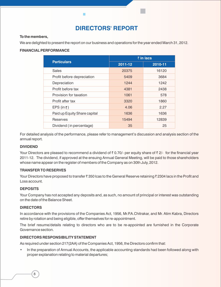# **DIRECTORS' REPORT**

 $\mathbb{R}^n$ 

#### **To the members,**

We are delighted to present the report on our business and operations for the year ended March 31, 2012.

#### **FINANCIAL PERFORMANCE**

|                              | ₹ in lacs |         |  |
|------------------------------|-----------|---------|--|
| <b>Particulars</b>           | 2011-12   | 2010-11 |  |
| <b>Sales</b>                 | 20375     | 16120   |  |
| Profit before depreciation   | 5409      | 3684    |  |
| Depreciation                 | 1244      | 1242    |  |
| Profit before tax            | 4381      | 2438    |  |
| Provision for taxation       | 1061      | 578     |  |
| Profit after tax             | 3320      | 1860    |  |
| EPS (in $\bar{z}$ )          | 4.06      | 2.27    |  |
| Paid up Equity Share capital | 1636      | 1636    |  |
| <b>Reserves</b>              | 15494     | 12839   |  |
| Dividend (in percentage)     | 35        | 25      |  |

For detailed analysis of the performance, please refer to management's discussion and analysis section of the annual report.

#### **DIVIDEND**

Your Directors are pleased to recommend a dividend of  $\bar{z}$  0.70/- per equity share of  $\bar{z}$  2/- for the financial year 2011-12. The dividend, if approved at the ensuing Annual General Meeting, will be paid to those shareholders whose name appear on the register of members of the Company as on 30th July, 2012.

#### **TRANSFER TO RESERVES**

Your Directors have proposed to transfer  $\bar{\tau}$  350 lcas to the General Reserve retaining  $\bar{\tau}$  2304 lacs in the Profit and Loss account.

#### **DEPOSITS**

Your Company has not accepted any deposits and, as such, no amount of principal or interest was outstanding on the date of the Balance Sheet.

#### **DIRECTORS**

8

In accordance with the provisions of the Companies Act, 1956, Mr.P.A.Chitrakar, and Mr. Atim Kabra, Directors retire by rotation and being eligible, offer themselves for re-appointment.

The brief resume/details relating to directors who are to be re-appointed are furnished in the Corporate Governance section.

#### **DIRECTORS RESPONSIBILITY STATEMENT**

As required under section 217(2AA) of the Companies Act, 1956, the Directors confirm that:

• In the preparation of Annual Accounts, the applicable accounting standards had been followed along with proper explanation relating to material departures;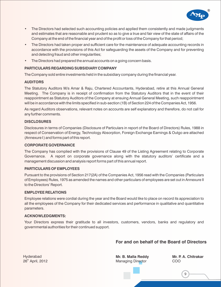

- The Directors had selected such accounting policies and applied them consistently and made judgments and estimates that are reasonable and prudent so as to give a true and fair view of the state of affairs of the Company at the end of the financial year and of the profit or loss of the Company for that period;
- The Directors had taken proper and sufficient care for the maintenance of adequate accounting records in accordance with the provisions of this Act for safeguarding the assets of the Company and for preventing and detecting fraud and other irregularities;
- The Directors had prepared the annual accounts on a going concern basis.

#### **PARTICULARS REGARDING SUBSIDIARY COMPANY**

The Company sold entire investments held in the subsidiary company during the financial year.

#### **AUDITORS**

The Statutory Auditors M/s Amar & Raju, Chartered Accountants, Hyderabad, retire at this Annual General Meeting. The Company is in receipt of confirmation from the Statutory Auditors that in the event of their reappointment as Statutory Auditors of the Company at ensuing Annual General Meeting, such reappointment will be in accordance with the limits specified in sub-section (1B) of Section 224 of the Companies Act, 1956.

As regard Auditors observations, relevant notes on accounts are self explanatory and therefore, do not call for any further comments.

#### **DISCLOSURES**

Disclosures in terms of Companies (Disclosure of Particulars in report of the Board of Directors) Rules, 1988 in respect of Conservation of Energy, Technology Absorption, Foreign Exchange Earnings & Outgo are attached (Annexure I) and forms part of this report.

#### **CORPORATE GOVERNANCE**

The Company has complied with the provisions of Clause 49 of the Listing Agreement relating to Corporate Governance. A report on corporate governance along with the statutory auditors' certificate and a management discussion and analysis report forms part of this annual report.

#### **PARTICULARS OF EMPLOYEES**

Pursuant to the provisions of Section 217(2A) of the Companies Act, 1956 read with the Companies (Particulars of Employees) Rules, 1975 as amended the names and other particulars of employees are set out in Annexure II to the Directors' Report.

#### **EMPLOYEE RELATIONS**

Employee relations were cordial during the year and the Board would like to place on record its appreciation to all the employees of the Company for their dedicated services and performance in qualitative and quantitative parameters.

#### **ACKNOWLEDGMENTS:**

Your Directors express their gratitude to all investors, customers, vendors, banks and regulatory and governmental authorities for their continued support.

#### **For and on behalf of the Board of Directors**

**Mr. B. Malla Reddy** Managing Director

**Mr. P. A. Chitrakar** COO

9

Hyderabad 26<sup>th</sup> April, 2012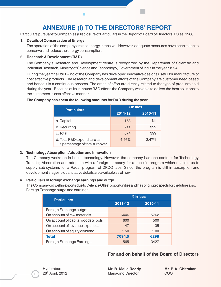# **ANNEXURE (I) TO THE DIRECTORS' REPORT**

Particulars pursuant to Companies (Disclosure of Particulars in the Report of Board of Directors) Rules, 1988.

#### **1. Details of Conservation of Energy**

The operation of the company are not energy intensive. However, adequate measures have been taken to conserve and reduce the energy consumption.

#### **2. Research & Development (R&D)**

The Company's Research and Development centre is recognized by the Department of Scientific and Industrial Research, Ministry of Science and Technology, Government of India in the year 1994.

During the year the R&D wing of the Company has developed innovative designs useful for manufacture of cost effective products. The research and development efforts of the Company are customer need based and hence it is a continuous process. The areas of effort are directly related to the type of products sold during the year. Because of its in-house R&D efforts the Company was able to deliver the best solutions to the customers in cost effective manner.

#### **The Company has spent the following amounts for R&D during the year.**

 $\mathcal{L}_{\mathcal{A}}$ 

| <b>Particulars</b>                                            | $\bar{\tau}$ in lacs |         |  |
|---------------------------------------------------------------|----------------------|---------|--|
|                                                               | 2011-12              | 2010-11 |  |
| a. Capital                                                    | 163                  | Nil     |  |
| b. Recurring                                                  | 711                  | 399     |  |
| c. Total                                                      | 874                  | 399     |  |
| d. Total R&D expenditure as<br>a percentage of total turnover | 4.46%                | 2.47%   |  |

#### **3. Technology Absorption, Adoption and Innovation**

The Company works on in house technology. However, the company has one contract for Technology, Transfer, Absorption and adoption with a foreign company for a specific program which enables us to supply sub-systems for a Radar program of DRDO labs. Since, the program is still in absorption and development stage no quantitative details are available as of now.

#### **4. Particulars of foreign exchange earnings and outgo**

The Company did well in exports due to Defence Offset opportunities and has bright prospects for the future also. Foreign Exchange outgo and earnings

| <b>Particulars</b>                | $\bar{\tau}$ in lacs |         |  |
|-----------------------------------|----------------------|---------|--|
|                                   | 2011-12              | 2010-11 |  |
| Foreign Exchange outgo:           |                      |         |  |
| On account of raw materials       | 6446                 | 5762    |  |
| On account of capital goods&Tools | 600                  | 500     |  |
| On account of revenue expenses    | 47                   | 35      |  |
| On account of equity dividend     | 1.50                 | 1.00    |  |
| <b>Total</b>                      | 7094.5               | 6298    |  |
| Foreign Exchange Earnings         | 1565                 | 3427    |  |

#### **For and on behalf of the Board of Directors**



**Mr. B. Malla Reddy** Managing Director

**Mr. P. A. Chitrakar** COO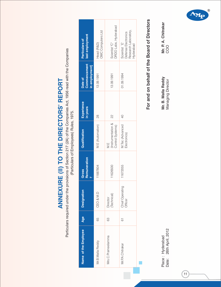

# **ANNEXURE (II) TO THE DIRECTORS' REPORT**  ANNEXURE (II) TO THE DIRECTORS' REPORT

Particulars required under the provisions of Section 217 (2A) of the Companies Act, 1956 read with the Companies<br>(Particulars (Particulars of Employees) Rules, 1975. Particulars required under the provisions of Section 217 (2A) of the Companies Act, 1956 read with the Companies

(Particulars of Employees) Rules, 1975.

| last employment<br>Particulars of         | <b>OMC</b> Computers Ltd<br>Head (R&D) | <b>JRDO Labs, Hyderabad</b><br>Scientist "C"  | Research Laboratory,<br>Defense Electronics<br>Scientist `E'<br>Hyderabad |
|-------------------------------------------|----------------------------------------|-----------------------------------------------|---------------------------------------------------------------------------|
| Commencement<br>in employment]<br>Date of | 13.09.1991                             | 13.09.1991                                    | 01.09.1994                                                                |
| Experience<br>in years                    |                                        | 22                                            | $\frac{1}{2}$                                                             |
| Qualification                             | M.E (Automation) 28                    | (Instrumentation &<br>Control Systems)<br>M.E | <b>M.Tec (Advanced</b><br>Electronics)                                    |
| Remuneration<br><b>Gross</b>              | 1887804                                | 1626500                                       | 1672055                                                                   |
| <b>Designation</b>                        | CEO & M.D                              | (Technical)<br><b>Director</b>                | Chief Operating<br>Officer                                                |
| <b>EDRA</b>                               | 65                                     | 63                                            | 61                                                                        |
| Name of the Employee                      | Mr.B.Malla Reddy                       | Mrs.C.Prameelamma                             | Mr.P.A.Chitrakar                                                          |

# For and on behalf of the Board of Directors **For and on behalf of the Board of Directors**

Place: Hyderabad<br>Date: 26th April, 2012 Date: 26th April, 2012 Place : Hyderabad

**Mr. P. A. Chitrakar** Mr. P. A. Chitrakar<br>COO

Mr. B. Malla Reddy<br>Managing Director **Mr. B. Malla Reddy** Managing Director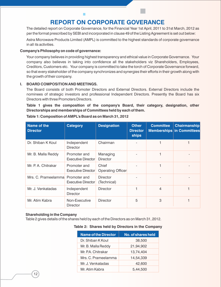# **REPORT ON CORPORATE GOVERANCE**

 $\mathcal{L}_{\mathcal{A}}$ 

The detailed report on Corporate Governance, for the Financial Year 1st April, 2011 to 31st March, 2012 as per the format prescribed by SEBI and incorporated in clause 49 of the Listing Agreement is set out below:

Astra Microwave Products Limited (AMPL) is committed to the highest standards of corporate governance in all its activities.

#### **Company's Philosophy on code of governance:**

Your company believes in providing highest transparency and ethical value in Corporate Governance. Your company also believes in taking into confidence all the stakeholders viz Shareholders, Employees, Creditors, Customers etc. Your company is committed to take the torch of Corporate Governance forward, so that every stakeholder of the company synchronizes and synergies their efforts in their growth along with the growth of their company.

#### **I. BOARD COMPOSITION AND MEETINGS.**

The Board consists of both Promoter Directors and External Directors. External Directors include the nominees of strategic investors and professional Independent Directors. Presently the Board has six Directors with three Promoters Directors.

**Table 1 gives the composition of the company's Board, their category, designation, other Directorships and memberships of Committees held by each of them.**

| Name of the<br><b>Director</b> | <b>Category</b>                           | <b>Designation</b>                | <b>Other</b><br><b>Director</b><br><b>ships</b> | <b>Committee</b> | <b>Chairmanship</b><br><b>Memberships in Committees</b> |
|--------------------------------|-------------------------------------------|-----------------------------------|-------------------------------------------------|------------------|---------------------------------------------------------|
| Dr. Shiban K Koul              | Independent<br><b>Director</b>            | Chairman                          |                                                 |                  |                                                         |
| Mr. B. Malla Reddy             | Promoter and<br><b>Executive Director</b> | Managing<br><b>Director</b>       |                                                 |                  |                                                         |
| Mr. P. A. Chitrakar            | Promoter and<br><b>Executive Director</b> | Chief<br><b>Operating Officer</b> |                                                 |                  |                                                         |
| Mrs. C. Prameelamma            | Promoter and<br><b>Executive Director</b> | <b>Director</b><br>(Technical)    |                                                 |                  |                                                         |
| Mr. J. Venkatadas              | Independent<br><b>Director</b>            | <b>Director</b>                   |                                                 | $\overline{4}$   |                                                         |
| Mr. Atim Kabra                 | Non-Executive<br>Director                 | <b>Director</b>                   | 5                                               | 3                |                                                         |

**Table 1: Composition of AMPL's Board as on March 31, 2012**

#### **Shareholding in the Company**

Table 2 gives details of the shares held by each of the Directors as on March 31, 2012.

#### **Table 2: Shares held by Directors in the Company**

| <b>Name of the Director</b> | <b>No. of shares held</b> |
|-----------------------------|---------------------------|
| Dr. Shiban K Koul           | 38,500                    |
| Mr. B. Malla Reddy          | 21,94,902                 |
| Mr. P.A. Chitrakar          | 13,74,404                 |
| Mrs. C. Prameelamma         | 14,54,339                 |
| Mr. J. Venkatadas           | 42,600                    |
| Mr. Atim Kabra              | 5,44,500                  |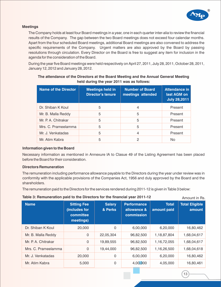

#### **Meetings**

The Company holds at least four Board meetings in a year, one in each quarter inter-alia to review the financial results of the Company. The gap between the two Board meetings does not exceed four calendar months. Apart from the four scheduled Board meetings, additional Board meetings are also convened to address the specific requirements of the Company. Urgent matters are also approved by the Board by passing resolutions through circulation. Every Director on the Board is free to suggest any item for inclusion in the agenda for the consideration of the Board.

During the year five Board meetings were held respectively on April 27, 2011, July 28, 2011, October 28, 2011, January 12, 2012 and January 28, 2012.

| <b>Name of the Director</b> | <b>Meetings held in</b><br><b>Director's tenure</b> | <b>Number of Board</b><br>meetings attended | <b>Attendance in</b><br>last AGM on<br><b>July 28,2011</b> |
|-----------------------------|-----------------------------------------------------|---------------------------------------------|------------------------------------------------------------|
| Dr. Shiban K Koul           | 5                                                   | 4                                           | Present                                                    |
| Mr. B. Malla Reddy          | 5                                                   | 5                                           | Present                                                    |
| Mr. P. A. Chitrakar         | 5                                                   | 5                                           | Present                                                    |
| Mrs. C. Prameelamma         | 5                                                   | 5                                           | Present                                                    |
| Mr. J. Venkatadas           | 5                                                   | 4                                           | Present                                                    |
| Mr. Atim Kabra              | 5                                                   | 2                                           | No                                                         |

#### **The attendance of the Directors at the Board Meeting and the Annual General Meeting held during the year 2011 was as follows:**

#### **Information given to the Board**

Necessary information as mentioned in Annexure IA to Clasue 49 of the Listing Agreement has been placed before the Board for their consideration.

#### **Directors Remuneration**

The remuneration including performance allowance payable to the Directors during the year under review was in conformity with the applicable provisions of the Companies Act, 1956 and duly approved by the Board and the shareholders.

The remuneration paid to the Directors for the services rendered during 2011-12 is given in Table 3 below:

| <u>THE TELLULICIALUM DAIU IU ILIC DILECTUR DUI ILIC SEI VICES FEHUCI EU UUIHIU ZU FFFFFFFFFFFFFFFFFFFFC ODERNI.</u> |                                                               |                          |                                                 |                             |                                 |
|---------------------------------------------------------------------------------------------------------------------|---------------------------------------------------------------|--------------------------|-------------------------------------------------|-----------------------------|---------------------------------|
| Table 3: Remuneration paid to the Directors for the financial year 2011-12                                          |                                                               |                          |                                                 |                             | Amount in Rs.                   |
| <b>Name</b>                                                                                                         | <b>Sitting Fee</b><br>(includes for<br>committee<br>meetings) | <b>Salary</b><br>& Perks | <b>Performance</b><br>allowance &<br>commission | <b>Total</b><br>amount paid | <b>Total Eligible</b><br>amount |
| Dr. Shiban K Koul                                                                                                   | 20,000                                                        | $\mathbf 0$              | 6,00,000                                        | 6,20,000                    | 16,80,462                       |
| Mr. B. Malla Reddy                                                                                                  | $\mathbf 0$                                                   | 22,05,304                | 96,82,500                                       | 1,18,87,804                 | 1,68,04,617                     |
| Mr. P. A. Chitrakar                                                                                                 | $\mathbf 0$                                                   | 19,89,555                | 96,82,500                                       | 1,16,72,055                 | 1,68,04,617                     |
| Mrs. C. Prameelamma                                                                                                 | $\mathbf 0$                                                   | 19,44,000                | 96,82,500                                       | 1,16,26,500                 | 1,68,04,618                     |
| Mr. J. Venkatadas                                                                                                   | 20,000                                                        | $\Omega$                 | 6,00,000                                        | 6,20,000                    | 16,80,462                       |
| Mr. Atim Kabra                                                                                                      | 5,000                                                         | $\boldsymbol{0}$         | 4,00,000                                        | 4,05,000                    | 16,80,461                       |
|                                                                                                                     |                                                               |                          |                                                 |                             | 13                              |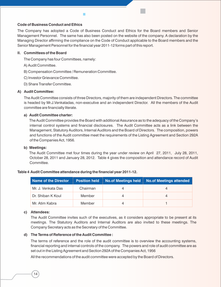#### **Code of Business Conduct and Ethics**

The Company has adopted a Code of Business Conduct and Ethics for the Board members and Senior Management Personnel. The same has also been posted on the website of the company. A declaration by the Managing Director affirming the compliance on the Code of Conduct applicable to the Board members and the Senior Management Personnel for the financial year 2011-12 forms part of this report.

#### **II. Committees of the Board**

- The Company has four Committees, namely:
- A) Audit Committee.
- B) Compensation Committee / Remuneration Committee.

 $\mathcal{L}_{\mathcal{A}}$ 

- C) Investor Grievance Committee.
- D) Share Transfer Committee.

#### **A) Audit Committee:**

The Audit Committee consists of three Directors, majority of them are independent Directors. The committee is headed by Mr.J.Venkatadas, non-executive and an independent Director. All the members of the Audit committee are financially literate.

#### **a) Audit Committee charter:**

The Audit Committee provides the Board with additional Assurance as to the adequacy of the Company's internal control systems and financial disclosures. The Audit Committee acts as a link between the Management, Statutory Auditors, Internal Auditors and the Board of Directors. The composition, powers and functions of the Audit committee meet the requirements of the Listing Agreement and Section 292A of the Companies Act, 1956.

#### **b) Meetings:**

The Audit Committee met four times during the year under review on April 27, 2011, July 28, 2011, October 28, 2011 and January 28, 2012. Table 4 gives the composition and attendance record of Audit Committee.

| <b>Name of the Director</b> | <b>Position held</b> | <b>No.of Meetings held</b> | No.of Meetings attended |
|-----------------------------|----------------------|----------------------------|-------------------------|
| Mr. J. Venkata Das          | Chairman             |                            |                         |
| Dr. Shiban K Koul           | Member               |                            |                         |
| Mr. Atim Kabra              | Member               |                            |                         |

#### **Table 4 Audit Committee attendance during the financial year 2011-12.**

#### **c) Attendees:**

14

The Audit Committee invites such of the executives, as it considers appropriate to be present at its meetings. The Statutory Auditors and Internal Auditors are also invited to these meetings. The Company Secretary acts as the Secretary of the Committee.

#### **d) The Terms of Reference of the Audit Committee :**

The terms of reference and the role of the audit committee is to overview the accounting systems, financial reporting and internal controls of the company. The powers and role of audit committee are as set out in the Listing Agreement and Section 292A of the Companies Act, 1956

All the recommendations of the audit committee were accepted by the Board of Directors.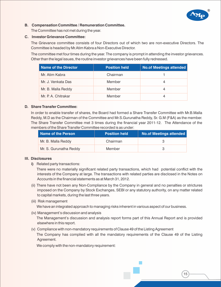

#### **B. Compensation Committee / Remuneration Committee.**

The Committee has not met during the year.

#### **C. Investor Grievance Committee:**

The Grievance committee consists of four Directors out of which two are non-executive Directors. The Committee is headed by Mr.Atim Kabra a Non-Executive Director.

The committee met four times during the year. The company is prompt in attending the investor grievances. Other than the legal issues, the routine investor grievances have been fully redressed.

| <b>Name of the Director</b> | <b>Position held</b> | <b>No.of Meetings attended</b> |
|-----------------------------|----------------------|--------------------------------|
| Mr. Atim Kabra              | Chairman             |                                |
| Mr. J. Venkata Das          | Member               | 4                              |
| Mr. B. Malla Reddy          | Member               |                                |
| Mr. P. A. Chitrakar         | Member               |                                |

#### **D. Share Transfer Committee:**

In order to enable transfer of shares, the Board had formed a Share Transfer Committee with Mr.B.Malla Reddy, M.D as the Chairman of the Committee and Mr.S.Gurunatha Reddy, Sr. G.M (F&A) as the member. The Share Transfer Committee met 3 times during the financial year 2011-12. The Attendance of the members of the Share Transfer Committee recorded is as under:

| Name of the Person     | <b>Position held</b> | <b>No.of Meetings attended</b> |
|------------------------|----------------------|--------------------------------|
| Mr. B. Malla Reddy     | Chairman             |                                |
| Mr. S. Gurunatha Reddy | Member               |                                |

#### **III. Disclosures**

**i)** Related party transactions:

There were no materially significant related party transactions, which had potential conflict with the interests of the Company at large. The transactions with related parties are disclosed in the Notes on Accounts in the financial statements as at March 31, 2012.

- (ii) There have not been any Non-Compliance by the Company in general and no penalties or strictures imposed on the Company by Stock Exchanges, SEBI or any statutory authority, on any matter related to capital markets, during the last three years.
- (iii) Risk management

We have an integrated approach to managing risks inherent in various aspect of our business.

(iv) Management's discussion and analysis

The Management's discussion and analysis report forms part of this Annual Report and is provided elsewhere in this report.

(v) Compliance with non-mandatory requirements of Clause 49 of the Listing Agreement

The Company has complied with all the mandatory requirements of the Clause 49 of the Listing Agreement.

We comply with the non-mandatory requirement: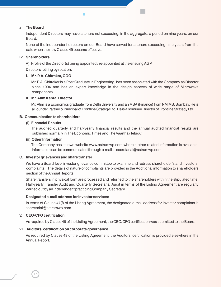#### **a. The Board**

Independent Directors may have a tenure not exceeding, in the aggregate, a period on nine years, on our Board.

None of the independent directors on our Board have served for a tenure exceeding nine years from the date when the new Clause 49 became effective.

#### **IV. Shareholders**

A). Profile of the Director(s) being appointed / re-appointed at the ensuing AGM.

 $\mathcal{L}_{\mathcal{A}}$ 

Directors retiring by rotation:

#### **I. Mr. P. A. Chitrakar, COO**

Mr. P. A. Chitrakar is a Post Graduate in Engineering, has been associated with the Company as Director since 1994 and has an expert knowledge in the design aspects of wide range of Microwave components.

#### **ii. Mr. Atim Kabra, Director**

Mr. Atim is a Economics graduate from Delhi University and an MBA (Finance) from NMIMS, Bombay. He is a Founder Partner & Principal of Frontline Strategy Ltd. He is a nominee Director of Frontline Strategy Ltd.

#### **B. Communication to shareholders**

#### **(i) Financial Results**

The audited quarterly and half-yearly financial results and the annual audited financial results are published normally in The Economic Times and The Vaartha (Telugu).

#### **(ii) Other Information**

The Company has its own website www.astramwp.com wherein other related information is available. Information can be communicated through e-mail at secretarial@astramwp.com.

#### **C. Investor grievances and share transfer**

We have a Board-level investor grievance committee to examine and redress shareholder's and investors' complaints. The details of nature of complaints are provided in the Additional information to shareholders section of the Annual Reports.

Share transfers in physical form are processed and returned to the shareholders within the stipulated time. Half-yearly Transfer Audit and Quarterly Secretarial Audit in terms of the Listing Agreement are regularly carried out by an independent practicing Company Secretary.

#### **Designated e-mail address for investor services:**

In terms of Clause 47(f) of the Listing Agreement, the designated e-mail address for investor complaints is secretarial@astramwp.com.

#### **V. CEO/CFO certification**

16

As required by Clause 49 of the Listing Agreement, the CEO/CFO certification was submitted to the Board.

#### **VI. Auditors' certification on corporate governance**

As required by Clause 49 of the Listing Agreement, the Auditors' certification is provided elsewhere in the Annual Report.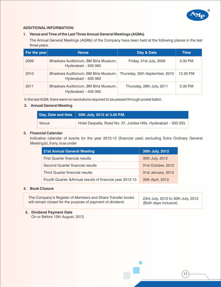

#### **ADDITIONAL INFORMATION:**

#### **1. Venue and Time of the Last Three Annual General Meetings (AGMs)**

The Annual General Meetings (AGMs) of the Company have been held at the following places in the last three years.

| For the year | Venue                                                        | Day & Date                     | Time      |
|--------------|--------------------------------------------------------------|--------------------------------|-----------|
| 2009         | Bhaskara Auditorium, BM Birla Museum,<br>Hyderabad $-500063$ | Friday, 31st July, 2009        | 3.30 P.M  |
| 2010         | Bhaskara Auditorium, BM Birla Museum,<br>Hyderabad $-500063$ | Thursday, 30th September, 2010 | 12.30 P.M |
| 2011         | Bhaskara Auditorium, BM Birla Museum,<br>Hyderabad $-500063$ | Thursday, 28th July, 2011      | 3.30 P.M  |

In the last AGM, there were no resolutions required to be passed through postal ballot..

#### **2. Annual General Meeting**

|       | Day, Date and time $\parallel$ 30th July, 2012 at 3.00 P.M.      |
|-------|------------------------------------------------------------------|
| Venue | Hotel Daspalla, Road No: 37, Jubilee Hills, Hyderabad - 500 033. |

#### **3. Financial Calendar**

Indicative calendar of events for the year 2012-13 (financial year) excluding Extra Ordinary General Meeting(s), if any, is as under

| <b>21st Annual General Meeting</b>                        | 30th July, 2012    |
|-----------------------------------------------------------|--------------------|
| <b>First Quarter financial results</b>                    | 30th July, 2012    |
| Second Quarter financial results                          | 31st October, 2012 |
| Third Quarter financial results                           | 31st January, 2013 |
| Fourth Quarter & Annual results of financial year 2012-13 | 30th April, 2013   |

#### **4. Book Closure**

| The Company's Register of Members and Share Transfer books | 23rd July, 2012 to 30th July, 2012 |
|------------------------------------------------------------|------------------------------------|
| will remain closed for the purpose of payment of dividend. | (Both days inclusive)              |

#### **5. Dividend Payment Date**

On or Before 15th August, 2012.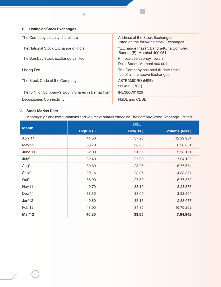#### **6. Listing on Stock Exchanges**

| The Company's equity shares are                    | Address of the Stock Exchanges<br>listed on the following stock Exchanges |
|----------------------------------------------------|---------------------------------------------------------------------------|
| The National Stock Exchange of India               | "Exchange Plaza", Bandra-Kurla Complex,<br>Bandra (E), Mumbai-400 051.    |
| The Bombay Stock Exchange Limited                  | Phiroze Jeejeebhoy Towers,<br>Dalal Street, Mumbai-400 001.               |
| <b>Listing Fee</b>                                 | The Company has paid till date listing<br>fee of all the above Exchanges. |
| The Stock Code of the Company                      | ASTRAMICRO (NSE)<br>532493 (BSE)                                          |
| The ISIN for Company's Equity Shares in Demat Form | INE386C01029                                                              |
| Depositories Connectivity                          | NSDL and CDSL                                                             |

 $\overline{\phantom{a}}$ 

#### **7. Stock Market Data**

18

Monthly high and low quotations and volume of shares traded on The Bombay Stock Exchange Limited.

| <b>Month</b> | <b>BSE</b> |          |                      |  |
|--------------|------------|----------|----------------------|--|
|              | High(Rs.)  | Low(Rs.) | <b>Volume (Nos.)</b> |  |
| April'11     | 44.50      | 37.20    | 12,29,984            |  |
| May'11       | 38.70      | 28.00    | 6,28,851             |  |
| June'11      | 32.00      | 21.55    | 5,58,161             |  |
| July'11      | 32.40      | 27.00    | 7,04,108             |  |
| Aug'11       | 30.60      | 23.25    | 5,77,674             |  |
| Sept'11      | 29.15      | 23.35    | 4,83,377             |  |
| Oct'11       | 36.90      | 27.80    | 6,77,379             |  |
| Nov, 11      | 40.70      | 33.10    | 8,28,575             |  |
| Dec'11       | 38.35      | 33.00    | 3,93,564             |  |
| Jan'12       | 40.80      | 33.15    | 2,88,077             |  |
| Feb'12       | 43.05      | 34.85    | 10,75,262            |  |
| Mar'12       | 40.25      | 33.85    | 7,64,942             |  |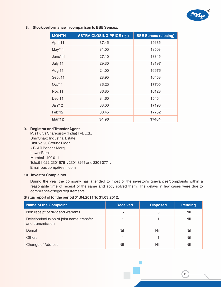

**8. Stock performance in comparison to BSE Sensex:**

| <b>MONTH</b>      | <b>ASTRA CLOSING PRICE (₹)</b> | <b>BSE Sensex (closing)</b> |
|-------------------|--------------------------------|-----------------------------|
| April'11          | 37.45                          | 19135                       |
| May'11            | 31.05                          | 18503                       |
| June'11           | 27.10                          | 18845                       |
| July'11           | 29.30                          | 18197                       |
| Aug'11            | 24.00                          | 16676                       |
| Sept'11           | 28.95                          | 16453                       |
| Oct'11            | 36.25                          | 17705                       |
| <b>Nov, 11</b>    | 36.85                          | 16123                       |
| Dec'11            | 34.60                          | 15454                       |
| Jan <sup>12</sup> | 38.00                          | 17193                       |
| Feb'12            | 36.45                          | 17752                       |
| Mar'12            | 34.90                          | 17404                       |

#### **9. Registrar and Transfer Agent**

M/s Purva Sharegistry (India) Pvt. Ltd., Shiv Shakti Industrial Estate, Unit No.9 , Ground Floor, 7 B J R Boricha Marg, Lower Parel, Mumbai - 400 011 Tele:91-022-23016761, 2301 8261 and 2301 0771. Email:busicomp@vsnl.com

#### **10. Investor Complaints**

During the year the company has attended to most of the investor's grievances/complaints within a reasonable time of receipt of the same and aptly solved them. The delays in few cases were due to compliance of legal requirements.

#### **Status report of for the period 01.04.2011 To 31.03.2012.**

| <b>Name of the Complaint</b>                                   | <b>Received</b> | <b>Disposed</b> | <b>Pending</b> |
|----------------------------------------------------------------|-----------------|-----------------|----------------|
| Non receipt of dividend warrants                               | 5               | 5               | Nil            |
| Deletion/inclusion of joint name, transfer<br>and transmission |                 |                 | Nil            |
| Demat                                                          | Nil             | Nil             | Nil            |
| <b>Others</b>                                                  |                 |                 | Nil            |
| <b>Change of Address</b>                                       | Nil             | Nil             | Nil            |

 $\mathbb{R}^n$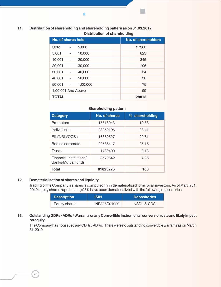**11. Distribution of shareholding and shareholding pattern as on 31.03.2012 Distribution of shareholding**

 $\mathcal{L}_{\mathcal{A}}$ 

| No. of shares held |                          |          | <b>No. of shareholders</b> |
|--------------------|--------------------------|----------|----------------------------|
| Upto               | $\overline{\phantom{a}}$ | 5,000    | 27300                      |
| 5,001              | $\overline{\phantom{a}}$ | 10,000   | 823                        |
| 10,001             | $\overline{a}$           | 20,000   | 345                        |
| 20,001             | $\overline{a}$           | 30,000   | 106                        |
| 30,001             |                          | 40,000   | 34                         |
| 40,001             | $\overline{\phantom{a}}$ | 50,000   | 30                         |
| 50,001             | $\overline{\phantom{a}}$ | 1,00,000 | 75                         |
| 1,00,001 And Above |                          |          | 99                         |
| <b>TOTAL</b>       |                          |          | 28812                      |

#### **Shareholding pattern**

| <b>Category</b>                                      | No. of shares | % shareholding |
|------------------------------------------------------|---------------|----------------|
| Promoters                                            | 15818043      | 19.33          |
| Individuals                                          | 23250196      | 28.41          |
| FIIs/NRIs/OCBs                                       | 16860527      | 20.61          |
| Bodies corporate                                     | 20586417      | 25.16          |
| <b>Trusts</b>                                        | 1739400       | 2.13           |
| Financial Institutions/<br><b>Banks/Mutual funds</b> | 3570642       | 4.36           |
| Total                                                | 81825225      | 100            |

#### **12. Dematerialisation of shares and liquidity.**

20

Trading of the Company's shares is compulsorily in dematerialized form for all investors. As of March 31, 2012 equity shares representing 98% have been dematerialized with the following depositories:

| <b>Description</b> | <b>ISIN</b>  | <b>Depositories</b> |
|--------------------|--------------|---------------------|
| Equity shares      | INE386C01029 | NSDL & CDSL         |

#### 13. Outstanding GDRs / ADRs / Warrants or any Convertible Instruments, conversion date and likely impact **onequity.**

The Company has not issued any GDRs / ADRs. There were no outstanding convertible warrants as on March 31,2012.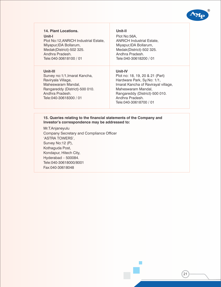

#### **14. Plant Locations.**

**Unit-I**

Plot No:12,ANRICH Industrial Estate, Miyapur,IDA Bollarum, Medak(District)-502 325. Andhra Pradesh. Tele:040-30618100 / 01

#### **Unit-III**

Survey no:1/1,Imarat Kancha, Raviryala Village, Maheswaram Mandal, Rangareddy (District)-500 010. Andhra Pradesh. Tele:040-30618300 / 01

#### **Unit-II**

Plot No:56A, ANRICH Industrial Estate, Miyapur,IDA Bollarum, Medak(District)-502 325. Andhra Pradesh. Tele:040-30618200 / 01

#### **Unit-IV**

Plot no: 18, 19, 20 & 21 (Part) Hardware Park, Sy.No: 1/1, Imarat Kancha of Ravirayal village, Maheswaram Mandal, Rangareddy (District)-500 010. Andhra Pradesh. Tele:040-30618700 / 01

#### **15. Queries relating to the financial statements of the Company and Investor's correspondence may be addressed to:**

Mr.T.Anjaneyulu Company Secretary and Compliance Officer 'ASTRA TOWERS', Survey No:12 (P), Kothaguda Post, Kondapur, Hitech City, Hyderabad – 500084. Tele:040-30618000/8001 Fax:040-30618048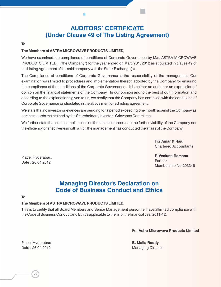# **AUDITORS' CERTIFICATE (Under Clause 49 of The Listing Agreement)**

#### **To**

#### **The Members of ASTRA MICROWAVE PRODUCTS LIMITED,**

 $\mathbb{R}^n$ 

We have examined the compliance of conditions of Corporate Governance by M/s. ASTRA MICROWAVE PRODUCTS LIMITED., ("the Company") for the year ended on March 31, 2012 as stipulated in clause 49 of the Listing Agreement of the said company with the Stock Exchange(s).

The Compliance of conditions of Corporate Governance is the responsibility of the management. Our examination was limited to procedures and implementation thereof, adopted by the Company for ensuring the compliance of the conditions of the Corporate Governance. It is neither an audit nor an expression of opinion on the financial statements of the Company. In our opinion and to the best of our information and according to the explanations given to us, we certify that the Company has complied with the conditions of Corporate Governance as stipulated in the above mentioned listing agreement.

We state that no investor grievances are pending for a period exceeding one month against the Company as per the records maintained by the Shareholders/Investors Grievance Committee.

We further state that such compliance is neither an assurance as to the further viability of the Company nor the efficiency or effectiveness with which the management has conducted the affairs of the Company.

> For **Amar & Raju** Chartered Accountants

**P. Venkata Ramana Partner** Membership No:203346

Place: Hyderabad. Date : 26.04.2012

### **Managing Director's Declaration on Code of Business Conduct and Ethics**

To

#### **The Members of ASTRA MICROWAVE PRODUCTS LIMITED,**

This is to certify that all Board Members and Senior Management personnel have affirmed compliance with the Code of Business Conduct and Ethics applicable to them for the financial year 2011-12.

For **Astra Microwave Products Limited**

Place: Hyderabad. Date : 26.04.2012

22

**B. Malla Reddy** Managing Director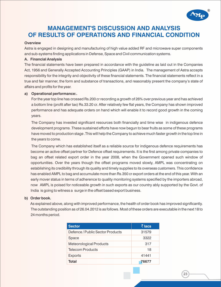

# **MANAGEMENT'S DISCUSSION AND ANALYSIS OF RESULTS OF OPERATIONS AND FINANCIAL CONDITION**

#### **Overview**

Astra is engaged in designing and manufacturing of high value added RF and microwave super components and sub-systems finding applications in Defense, Space and Civil communication systems.

#### **A. Financial Analysis**

The financial statements have been prepared in accordance with the guideline as laid out in the Companies Act, 1956 and Generally Accepted Accounting Principles (GAAP) in India. The management of Astra accepts responsibility for the integrity and objectivity of these financial statements. The financial statements reflect in a true and fair manner, the form and substance of transactions, and reasonably present the company's state of affairs and profits for the year.

#### **a) Operational performance:.**

For the year top line has crossed Rs.200 cr recording a growth of 26% over previous year and has achieved a bottom line (profit after tax) Rs.33.20 cr. After relatively few flat years, the Company has shown improved performance and has adequate orders on hand which will enable it to record good growth in the coming years.

The Company has invested significant resources both financially and time wise in indigenous defence development programs .These sustained efforts have now begun to bear fruits as some of these programs have moved to production stage .This will help the Company to achieve much faster growth in the top line in the years to come.

The Company which has established itself as a reliable source for indigenous defence requirements has become an active offset partner for Defence offset requirements. It is the first among private companies to bag an offset related export order in the year 2008, when the Government opened such window of opportunities. Over the years though the offset programs moved slowly, AMPL was concentrating on establishing its credibility through its quality and timely supplies to its overseas customers. This confidence has enabled AMPL to bag and accumulate more than Rs.350 cr export orders at the end of this year. With an early mover status in terms of adherence to quality monitoring systems specified by the importers abroad, now AMPL is poised for noticeable growth in such exports as our country ably supported by the Govt. of India is going to witness a surge in the offset based export business.

#### **b) Order book.**

As explained above, along with improved performance, the health of order book has improved significantly. The outstanding position as of 26.04.2012 is as follows. Most of these orders are executable in the next 18 to 24 months period.

| <b>Sector</b>                    | ₹ lacs |
|----------------------------------|--------|
| Defence / Public Sector Products | 31579  |
| Space                            | 3322   |
| <b>Meteorological Products</b>   | 317    |
| <b>Telecom Products</b>          | 18     |
| <b>Exports</b>                   | 41441  |
| <b>Total</b>                     | 76677  |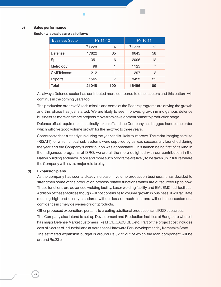#### **c) Sales performance**

#### **Sector wise sales are as follows**

 $\mathbb{R}^n$ 

| <b>Business Sector</b> | FY 11-12 |     | FY 10-11 |     |
|------------------------|----------|-----|----------|-----|
|                        | ₹ Lacs   | %   | ₹ Lacs   | %   |
| Defense                | 17822    | 85  | 9645     | 58  |
| Space                  | 1351     | 6   | 2006     | 12  |
| Metrology              | 98       | 1   | 1125     | 7   |
| Civil Telecom          | 212      | 1   | 297      | 2   |
| <b>Exports</b>         | 1565     | 7   | 3423     | 21  |
| <b>Total</b>           | 21048    | 100 | 16496    | 100 |

As always Defence sector has contributed more compared to other sectors and this pattern will continue in the coming years too.

The production orders of Akash missile and some of the Radars programs are driving the growth and this phase has just started. We are likely to see improved growth in indigenous defence business as more and more projects move from development phase to production stage.

Defence offset requirement has finally taken off and the Company has bagged handsome order which will give good volume growth for the next two to three years.

Space sector has a steady run during the year and is likely to improve. The radar imaging satellite (RISAT-I) for which critical sub-systems were supplied by us was successfully launched during the year and the Company's contribution was appreciated. This launch being first of its kind in the indigenous programs of ISRO, we are all the more delighted with our contribution in the Nation building endeavor. More and more such programs are likely to be taken up in future where the Company will have a major role to play.

#### **d) Expansion plans**

24

As the company has seen a steady increase in volume production business, it has decided to strengthen some of the production process related functions which are outsourced up to now. These functions are advanced welding facility, Laser welding facility and EMI/EMC test facilities. Addition of these facilities though will not contribute to volume growth in business; it will facilitate meeting high end quality standards without loss of much time and will enhance customer's confidence in timely deliveries of right products.

Other proposed expenditure pertains to creating additional production and R&D capacities.

The Company also intend to set-up Development and Production facilities at Bangalore where it has major Defense Market customers like LRDE,CABS,BEL etc.,Part of the project cost includes cost of 5 acres of industrial land at Aerospace Hardware Park development by Karnataka State.

The estimated expansion budget is around Rs.32 cr out of which the loan component will be around Rs.23 cr.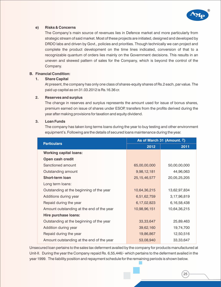

#### **e) Risks & Concerns**

The Company's main source of revenues lies in Defence market and more particularly from strategic stream of said market. Most of these projects are initiated, designed and developed by DRDO labs and driven by Govt., policies and priorities. Though technically we can project and complete the product development on the time lines indicated, conversion of that to a recognizable quantum of orders lies mainly on the Government decisions. This results in an uneven and skewed pattern of sales for the Company, which is beyond the control of the Company.

#### **B. Financial Condition:**

#### **1. Share Capital**

At present, the company has only one class of shares-equity shares of Rs.2 each, par value. The paid up capital as on 31.03.2012 is Rs.16.36 cr.

#### **2. Reserves and surplus**

The change in reserves and surplus represents the amount used for issue of bonus shares, premium earned on issue of shares under ESOP, transfers from the profits derived during the year after making provisions for taxation and equity dividend.

#### **3. Loan Funds**

The company has taken long terms loans during the year to buy testing and other environment equipment's. Following are the details of secured loans maintenance during the year.

| <b>Particulars</b>                        | As of March 31 (Amount. $\bar{z}$ ) |              |  |  |
|-------------------------------------------|-------------------------------------|--------------|--|--|
|                                           | 2012                                | 2011         |  |  |
| <b>Working capital loans:</b>             |                                     |              |  |  |
| Open cash credit                          |                                     |              |  |  |
| Sanctioned amount                         | 65,00,00,000                        | 50,00,00,000 |  |  |
| Outstanding amount                        | 9,98,12,181                         | 44,96,063    |  |  |
| <b>Short-term loan</b>                    | 25, 15, 46, 577                     | 20,05,25,205 |  |  |
| Long term loans:                          |                                     |              |  |  |
| Outstanding at the beginning of the year  | 10,64,36,215                        | 13,62,97,834 |  |  |
| Additions during year                     | 6,51,62,759                         | 3,17,96,819  |  |  |
| Repaid during the year                    | 6,17,02,823                         | 6,16,58,438  |  |  |
| Amount outstanding at the end of the year | 10,98,96,151                        | 10,64,36,215 |  |  |
| Hire purchase loans:                      |                                     |              |  |  |
| Outstanding at the beginning of the year  | 33, 33, 647                         | 25,89,463    |  |  |
| Addition during year                      | 39,62,160                           | 19,74,700    |  |  |
| Repaid during the year                    | 19,86,867                           | 12,50,516    |  |  |
| Amount outstanding at the end of the year | 53,08,940                           | 33, 33, 647  |  |  |

Unsecured loan pertains to the sales tax deferment availed by the company for products manufactured at Unit-II. During the year the Company repaid Rs. 6,55,446/- which pertains to the deferment availed in the year 1999. The liability position and repayment schedule for the remaining periods is shown below.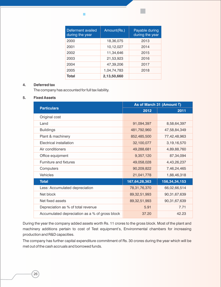| Deferment availed<br>during the year | Amount(Rs.) | Payable during<br>during the year |
|--------------------------------------|-------------|-----------------------------------|
| 2000                                 | 18,36,075   | 2013                              |
| 2001                                 | 10,12,027   | 2014                              |
| 2002                                 | 11,34,646   | 2015                              |
| 2003                                 | 21,53,923   | 2016                              |
| 2004                                 | 47,39,206   | 2017                              |
| 2005                                 | 1,04,74,783 | 2018                              |
| Total                                | 2,13,50,660 |                                   |

#### **4. Deferred tax**

The company has accounted for full tax liability.

 $\mathcal{L}_{\mathcal{A}}$ 

#### **5. Fixed Assets**

26

|                                                | As of March 31 (Amount $\bar{z}$ ) |                  |  |  |
|------------------------------------------------|------------------------------------|------------------|--|--|
| <b>Particulars</b>                             | 2012                               | 2011             |  |  |
| Original cost                                  |                                    |                  |  |  |
| Land                                           | 91,094,397                         | 8,58,64,397      |  |  |
| <b>Buildings</b>                               | 481,792,960                        | 47,58,84,349     |  |  |
| Plant & machinery                              | 852,485,500                        | 77,42,48,963     |  |  |
| Electrical installation                        | 32,100,077                         | 3,19,16,570      |  |  |
| Air conditioners                               | 49,288,681                         | 4,89,88,760      |  |  |
| Office equipment                               | 9,357,120                          | 87,34,094        |  |  |
| Furniture and fixtures                         | 49,058,028                         | 4,43,26,237      |  |  |
| Computers                                      | 90,209,822                         | 7,46,24,465      |  |  |
| <b>Vehicles</b>                                | 21,041,778                         | 1,88,46,318      |  |  |
| <b>Total</b>                                   | 167,64,28,363                      | 156, 34, 34, 153 |  |  |
| Less: Accumulated depreciation                 | 78, 31, 76, 370                    | 66,02,66,514     |  |  |
| Net block                                      | 89, 32, 51, 993                    | 90,31,67,639     |  |  |
| Net fixed assets                               | 89, 32, 51, 993                    | 90,31,67,639     |  |  |
| Depreciation as % of total revenue             | 5.91                               | 7.71             |  |  |
| Accumulated depreciation as a % of gross block | 37.20                              | 42.23            |  |  |

During the year the company added assets worth Rs. 11 crores to the gross block. Most of the plant and machinery additions pertain to cost of Test equipment's, Environmental chambers for increasing production and R&D capacities.

The company has further capital expenditure commitment of Rs. 30 crores during the year which will be met out of the cash accruals and borrowed funds.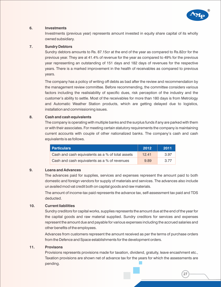

#### **6. Investments**

Investments (previous year) represents amount invested in equity share capital of its wholly owned subsidiary.

#### **7. Sundry Debtors**

Sundry debtors amounts to Rs. 87.15cr at the end of the year as compared to Rs.82cr for the previous year. They are at 41.4% of revenue for the year as compared to 49% for the previous year representing an outstanding of 151 days and 182 days of revenues for the respective years. There is a marked improvement in the health of receivables as compared to previous years.

The company has a policy of writing off debts as bad after the review and recommendation by the management review committee. Before recommending, the committee considers various factors including the realisiability of specific dues, risk perception of the industry and the customer's ability to settle. Most of the receivables for more than 180 days is from Metrology and Automatic Weather Station products, which are getting delayed due to logistics, installation and commissioning issues.

#### **8. Cash and cash equivalents**

The company is operating with multiple banks and the surplus funds if any are parked with them or with their associates. For meeting certain statutory requirements the company is maintaining current accounts with couple of other nationalized banks. The company's cash and cash equivalents is as follows.

| <b>Particulars</b>                               | 2012  | 2011 |
|--------------------------------------------------|-------|------|
| Cash and cash equivalents as a % of total assets | 12.41 | 3.97 |
| Cash and cash equivalents as a % of revenues     | 9.89  | 3.77 |

#### **9. Loans and Advances**

The advances paid for supplies, services and expenses represent the amount paid to both domestic and foreign vendors for supply of materials and services. The advances also include un availed mod vat credit both on capital goods and raw materials.

The amount of income-tax paid represents the advance tax, self-assessment tax paid and TDS deducted.

#### **10. Current liabilities**

Sundry creditors for capital works, supplies represents the amount due at the end of the year for the capital goods and raw material supplied. Sundry creditors for services and expenses represent the amount due and payable for various expenses including the accrued salaries and other benefits of the employees.

Advances from customers represent the amount received as per the terms of purchase orders from the Defence and Space establishments for the development orders.

#### **11. Provisons**

Provisions represents provisions made for taxation, dividend, gratuity, leave encashment etc., Taxation provisions are shown net of advance tax for the years for which the assessments are pending.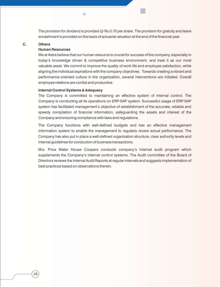The provision for dividend is provided  $@$  Rs.0.70 per share. The provision for gratuity and leave encashment is provided on the basis of actuarial valuation at the end of the financial year.

#### **C. Others**

#### **Human Resources**

We at Astra believe that our human resource is crucial for success of the company, especially in today's knowledge driven & competitive business environment, and treat it as our most valuable asset. We commit to improve the quality of work life and employee satisfaction, while aligning the individual aspirations with the company objectives. Towards creating a vibrant and performance-oriented culture in the organization, several interventions are initiated. Overall employee relations are cordial and productive.

#### **Internal Control Systems & Adequacy**

 $\mathcal{L}_{\mathcal{A}}$ 

The Company is committed to maintaining an effective system of internal control. The Company is conducting all its operations on ERP-SAP system. Successful usage of ERP-SAP system has facilitated management's objective of establishment of the accurate, reliable and speedy compilation of financial information, safeguarding the assets and interest of the Company and ensuring compliance with laws and regulations.

The Company functions with well-defined budgets and has an effective management information system to enable the management to regularly review actual performance. The Company has also put in place a well-defined organization structure, clear authority levels and internal guidelines for conduction of business transactions.

M/s. Price Water House Coopers conducts company's Internal audit program which supplements the Company's internal control systems. The Audit committee of the Board of Directors reviews the Internal Audit Reports at regular intervals and suggests implementation of best practices based on observations therein.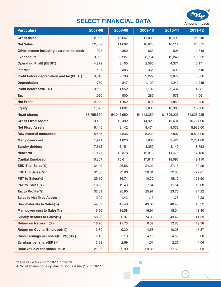# **SELECT FINANCIAL DATA**



29

 $\mathcal{L}_{\mathcal{A}}$ 

| <b>Particulars</b>                        | 2007-08    | 2008-09    | 2009-10    | 2010-11    | 2011-12    |
|-------------------------------------------|------------|------------|------------|------------|------------|
| <b>Gross sales</b>                        | 12,905     | 12,067     | 11,030     | 16,490     | 21,048     |
| <b>Net Sales</b>                          | 12,389     | 11,682     | 10,678     | 16,114     | 20,375     |
| Other income including accretion to stock | 923        | $-350$     | 663        | 505        | 1,748      |
| <b>Expenditure</b>                        | 9,039      | 8,227      | 8,754      | 12,248     | 15,952     |
| <b>Operating Profit (EBDIT)</b>           | 4,272      | 3,105      | 2,586      | 4,371      | 6,171      |
| <b>Interest</b>                           | 424        | 306        | 364        | 692        | 545        |
| Profit before depreciation and tax(PBDT)  | 3,848      | 2,799      | 2,222      | 3,679      | 5,626      |
| <b>Depreciation</b>                       | 739        | 847        | 1,120      | 1,242      | 1,245      |
| <b>Profit before tax(PBT)</b>             | 3,109      | 1,952      | 1,102      | 2,437      | 4,381      |
| <b>Tax</b>                                | 1,020      | 500        | 286        | 578        | 1,061      |
| <b>Net Profit</b>                         | 2,089      | 1,452      | 816        | 1,859      | 3,320      |
| <b>Equity</b>                             | 1,075      | 1,081      | 1,083      | 16,366     | 16,366     |
| <b>No.of shares</b>                       | 53,755,850 | 54,045,950 | 54,143,350 | 81,825,225 | 81,825,225 |
| <b>Gross Fixed Assets</b>                 | 9,492      | 12,492     | 14,920     | 15,634     | 16,764.00  |
| <b>Net Fixed Assets</b>                   | 6,145      | 8,142      | 9,474      | 9,032      | 8,933.00   |
| <b>Raw material consumed</b>              | 5,536      | 4,836      | 5,239      | 7,807      | 8,807.00   |
| Man power cost                            | 1,941      | 1,820      | 1,806      | 2,424      | 2,731.00   |
| <b>Sundry debtors</b>                     | 7,612      | 6,151      | 8,259      | 8,149      | 8,753      |
| <b>Networth</b>                           | 11,476     | 12,378     | 12,912     | 14,476     | 17,130     |
| <b>Capital Employed</b>                   | 15,367     | 15,611     | 17,817     | 18,096     | 19,110     |
| <b>EBDIT to Sales(%)</b>                  | 34.49      | 26.58      | 24.22      | 27.13      | 30.29      |
| <b>EBDT</b> to Sales(%)                   | 31.06      | 23.96      | 20.81      | 22.83      | 27.61      |
| PBT to Sales(%)                           | 25.10      | 16.71      | 10.32      | 15.12      | 21.50      |
| PAT to Sales(%)                           | 16.86      | 12.43      | 7.64       | 11.54      | 16.30      |
| Tax to Profits $(\%)$                     | 32.81      | 25.60      | 25.97      | 23.70      | 24.22      |
| <b>Sales to Net fixed Assets</b>          | 2.02       | 1.43       | 1.13       | 1.78       | 2.28       |
| Raw materials to Sales(%)                 | 44.69      | 41.40      | 49.06      | 48.45      | 43.22      |
| Man power cost to Sales(%)                | 15.66      | 15.58      | 16.91      | 15.04      | 13.40      |
| <b>Sundry debtors to Sales(%)</b>         | 58.98      | 50.97      | 74.88      | 49.42      | 41.59      |
| <b>Return on Networth(%)</b>              | 18.20      | 11.73      | 6.32       | 12.85      | 19.38      |
| <b>Return on Capital Employed(%)</b>      | 13.60      | 9.30       | 4.58       | 10.28      | 17.37      |
| Cash Earnings per share(CEPS)(Rs.)        | 7.16       | 5.18       | 4.10       | 4.50       | 6.88       |
| Earnings per share(EPS)*                  | 3.89       | 2.69       | 1.51       | 2.27       | 4.06       |
| Book value of the share(Rs.)#             | 21.35      | 22.90      | 23.85      | 17.69      | 20.93      |

\*Face value Rs.2 from 10-11 onwards.

# No.of shares gone up due to Bonus issue (1:2)in 10-11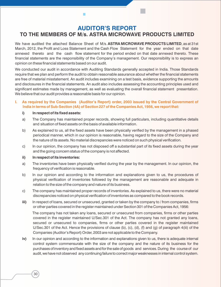#### **AUDITOR'S REPORT**

m.

# **TO THE MEMBERS OF M/s. ASTRA MICROWAVE PRODUCTS LIMITED**

We have audited the attached Balance Sheet of M/s. **ASTRA MICROWAVE PRODUCTS LIMITED**, as at 31st March, 2012, the Profit and Loss Statement and the Cash Flow Statement for the year ended on that date annexed thereto and the cash flow statement for the period ended on that date annexed thereto. These financial statements are the responsibility of the Company's management. Our responsibility is to express an opinion on these financial statements based on our audit.

We conducted our audit in accordance with Auditing Standards generally accepted in India. Those Standards require that we plan and perform the audit to obtain reasonable assurance about whether the financial statements are free of material misstatement. An audit includes examining on a test basis, evidence supporting the amounts and disclosures in the financial statements. An audit also includes assessing the accounting principles used and significant estimates made by management, as well as evaluating the overall financial statement presentation. We believe that our audit provides a reasonable basis for our opinion.

#### **I. As required by the Companies (Auditor's Report) order, 2003 issued by the Central Government of India in terms of Sub-Section (4A) of Section 227 of the Companies Act, 1956, we report that:**

#### **i) In respect of its fixed assets:**

- a) The Company has maintained proper records, showing full particulars, including quantitative details and situation of fixed assets on the basis of available information.
- b) As explained to us, all the fixed assets have been physically verified by the management in a phased periodical manner, which in our opinion is reasonable, having regard to the size of the Company and the nature of its assets. No material discrepancies were noticed on such physical verification.
- c) In our opinion, the company has not disposed off a substantial part of its fixed assets during the year and the going concern status of the company is not affected.

#### **ii) In respect of its inventories:**

30

- a) The inventories have been physically verified during the year by the management. In our opinion, the frequency of verification is reasonable.
- b) In our opinion and according to the information and explanations given to us, the procedures of physical verification of inventories followed by the management are reasonable and adequate in relation to the size of the company and nature of its business.
- c) The company has maintained proper records of inventories. As explained to us, there were no material discrepancies noticed on physical verification of inventories as compared to the book records.
- **iii)** In respect of loans, secured or unsecured, granted or taken by the company to / from companies, firms or other parties covered in the register maintained under Section 301 of the Companies Act, 1956:

The company has not taken any loans, secured or unsecured from companies, firms or other parties covered in the register maintained U/Sec.301 of the Act. The company has not granted any loans, secured or unsecured to companies, firms or other parties covered in the register maintained U/Sec.301 of the Act. Hence the provisions of clause (b), (c), (d), (f) and (g) of paragraph 4(iii) of the Companies (Auditor's Report) Order, 2003 are not applicable to the Company.

**iv)** In our opinion and according to the information and explanations given to us, there is adequate internal control system commensurate with the size of the company and the nature of its business for the purchasesof inventory andfixedassets andforthe saleofgoods and services. During the courseof our audit, we have not observed any continuing failure to correct major weaknesses in internal control system.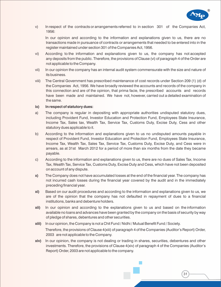

v) In respect of the contracts or arrangements referred to in section 301 of the Companies Act, 1956:

In our opinion and according to the information and explanations given to us, there are no transactions made in pursuance of contracts or arrangements that needed to be entered into in the register maintained under section 301 of the Companies Act, 1956.

- vi) According to the information and explanations given to us, the company has not accepted any deposits from the public. Therefore, the provisions of Clause (vi) of paragraph 4 of the Order are not applicable to the Company.
- vii) In our opinion the company has an internal audit system commensurate with the size and nature of its business.
- viii) The Central Government has prescribed maintenance of cost records under Section 209 (1) (d) of the Companies Act, 1956. We have broadly reviewed the accounts and records of the company in this connection and are of the opinion, that prima facie, the prescribed accounts and records have been made and maintained. We have not, however, carried out a detailed examination of the same.

#### **ix) In respect of statutory dues:**

- a) The company is regular in depositing with appropriate authorities undisputed statutory dues, including Provident Fund, Investor Education and Protection Fund, Employees State Insurance, Income Tax, Sales tax, Wealth Tax, Service Tax, Customs Duty, Excise Duty, Cess and other statutory dues applicable to it.
- b) According to the information and explanations given to us no undisputed amounts payable in respect of Provident Fund, Investor Education and Protection Fund, Employees State Insurance, Income Tax, Wealth Tax, Sales Tax, Service Tax, Customs Duty, Excise Duty, and Cess were in arrears, as at 31st March 2012 for a period of more than six months from the date they became payable.
- c) According to the information and explanations given to us, there are no dues of Sales Tax, Income Tax, Wealth Tax, Service Tax, Customs Duty, Excise Duty and Cess, which have not been deposited on account of any dispute.
- **x)** The Company does not have accumulated losses at the end of the financial year. The company has not incurred cash losses during the financial year covered by the audit and in the immediately preceding financial year.
- **xi)** Based on our audit procedures and according to the information and explanations given to us, we are of the opinion that the company has not defaulted in repayment of dues to a financial institutions, banks and debenture holders.
- **xii)** In our opinion and according to the explanations given to us and based on the information available no loans and advances have been granted by the company on the basis of security by way of pledge of shares, debentures and other securities.
- **xiii)** In our opinion, the Company is not a Chit Fund / Nidhi / Mutual Benefit Fund / Society. Therefore, the provisions of Clause 4(xiii) of paragraph 4 of the Companies (Auditor's Report) Order, 2003 are not applicable to the Company.
- **xiv)** In our opinion, the company is not dealing or trading in shares, securities, debentures and other investments. Therefore, the provisions of Clause 4(xiv) of paragraph 4 of the Companies (Auditor's Report) Order, 2003 are not applicable to the company.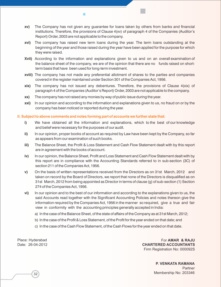- **xv)** The Company has not given any guarantee for loans taken by others from banks and financial institutions. Therefore, the provisions of Clause 4(xv) of paragraph 4 of the Companies (Auditor's Report) Order, 2003 are not applicable to the company.
- **xvi)** The company has raised new term loans during the year. The term loans outstanding at the beginning of the year and those raised during the year have been applied for the purpose for which they were raised.
- **Xvii)** According to the information and explanations given to us and on an overall examination of the balance sheet of the company, we are of the opinion that there are no funds raised on shortterm basis that have been used for long-term investment.
- **xviii)** The company has not made any preferential allotment of shares to the parties and companies covered in the register maintained under Section 301 of the Companies Act, 1956.
- **xix)** The company has not issued any debentures. Therefore, the provisions of Clause 4(xix) of paragraph 4 of the Companies (Auditor's Report) Order, 2003 are not applicable to the company.
- **xx)** The company has not raised any monies by way of public issue during the year.

m.

**xxi)** In our opinion and according to the information and explanations given to us, no fraud on or by the company has been noticed or reported during the year.

#### **II. Subject to above comments and notes forming part of accounts we further state that:**

- **i)** We have obtained all the information and explanations, which to the best of our knowledge and belief were necessary for the purposes of our audit.
- **ii)** In our opinion, proper books of account as required by Law have been kept by the Company, so far as appears from our examination of such books.
- **iii)** The Balance Sheet, the Profit & Loss Statement and Cash Flow Statement dealt with by this report are in agreement with the books of account.
- **iv)** In our opinion, the Balance Sheet, Profit and Loss Statement and Cash Flow Statement dealt with by this report are in compliance with the Accounting Standards referred to in sub-section (3C) of section 211 of the Companies Act, 1956.
- **v)** On the basis of written representations received from the Directors as on 31st March, 2012 and taken on record by the Board of Directors, we report that none of the Directors is disqualified as on 31st March, 2012 from being appointed as Director in terms of clause (g) of sub-section (1) Section 274 of the Companies Act, 1956.
- **vi)** In our opinion and to the best of our information and according to the explanations given to us, the said Accounts read together with the Significant Accounting Policies and notes thereon give the information required by the Companies Act, 1956 in the manner so required, give a true and fair view in conformity with the accounting principles generally accepted in India:
	- a) In the case of the Balance Sheet, of the state of affairs of the Company as at 31st March, 2012;
	- b) In the case of the Profit & Loss Statement, of the Profit for the year ended on that date; and
	- c) In the case of the Cash Flow Statement, of the Cash Flows for the year ended on that date.

Place: Hyderabad Date: 26-04-2012

32

For **AMAR & RAJU CHARTERED ACCOUNTANTS** Firm Registration No: 000092S

> **P. VENKATA RAMANA** Partner Membership No: 203346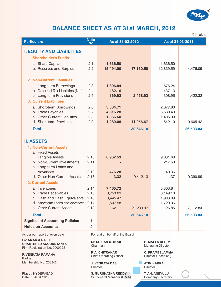

# **BALANCE SHEET AS AT 31st MARCH, 2012**

| ₹ in lakhs                                                                                                                                                                                                                    |                                      |                                                       |           |                                                       |           |  |
|-------------------------------------------------------------------------------------------------------------------------------------------------------------------------------------------------------------------------------|--------------------------------------|-------------------------------------------------------|-----------|-------------------------------------------------------|-----------|--|
| <b>Particulars</b>                                                                                                                                                                                                            | <b>Note</b><br><b>No</b>             | As at 31-03-2012                                      |           | As at 31-03-2011                                      |           |  |
| <b>I. EQUITY AND LIABILITIES</b><br>1. Shareholder's Funds<br>a. Share Capital<br>b. Reserves and Surplus                                                                                                                     | 2.1<br>2.2                           | 1,636.50<br>15,494.00                                 | 17,130.50 | 1,636.50<br>12,839.59                                 | 14,476.09 |  |
| 2. Non-Current Liabilities<br>a. Long-term Borrowings<br>b. Deferred Tax Liabilities (Net)<br>c. Long-term Provisions                                                                                                         | 2.3<br>2.4<br>2.5                    | 1,806.84<br>482.16<br>169.93                          | 2,458.93  | 676.24<br>437.13<br>308.95                            | 1,422.32  |  |
| <b>3. Current Liabilities</b><br>a. Short-term Borrowings<br>b. Trade Payables<br>c. Other Current Liabilities<br>d. Short-term Provisions                                                                                    | 2.6<br>2.7<br>2.8<br>2.9             | 3,584.71<br>4,816.28<br>1,366.60<br>1,289.08          | 11,056.67 | 2,077.80<br>6,580.43<br>1,405.09<br>542.10            | 10,605.42 |  |
| <b>Total</b>                                                                                                                                                                                                                  |                                      |                                                       | 30,646.10 |                                                       | 26,503.83 |  |
| <b>II. ASSETS</b><br><b>1. Non-Current Assets</b><br>a. Fixed Assets<br><b>Tangible Assets</b><br>b. Non-Current Investments<br>c. Long-term Loans and<br>Advances<br>d. Other Non-Current Assets<br><b>2. Current Assets</b> | 2.10<br>2.11<br>2.12<br>2.13         | 8,932.53<br>476.28<br>3.32                            | 9,412.13  | 9,031.68<br>217.58<br>140.36<br>1.37                  | 9,390.99  |  |
| a. Inventories<br>b. Trade Receivables<br>c. Cash and Cash Equivalents<br>d. Short-term Loans and Advances<br>e. Other Current Assets                                                                                         | 2.14<br>2.15<br>2.16<br>2.17<br>2.18 | 7,465.72<br>8,753.09<br>3,445.47<br>1,507.58<br>62.11 | 21,233.97 | 5,303.84<br>8,149.10<br>1,903.09<br>1,729.96<br>26.85 | 17,112.84 |  |
| <b>Total</b>                                                                                                                                                                                                                  |                                      |                                                       | 30,646.10 |                                                       | 26,503.83 |  |
| <b>Significant Accounting Policies</b>                                                                                                                                                                                        | 1                                    |                                                       |           |                                                       |           |  |
| <b>Notes on Accounts</b>                                                                                                                                                                                                      | $\overline{\mathbf{c}}$              |                                                       |           |                                                       |           |  |

As per our report of even date

For **AMAR & RAJU CHARTERED ACCOUNTANTS** Firm Registration No: 000092S

**P. VENKATA RAMANA** Partner

Membership No: 203346

**Place :** HYDERABAD **Date :** 26.04.2012

For and on behalf of the Board

**Dr. SHIBAN K. KOUL** Chairman

**P. A. CHITRAKAR** Chief Operating Officer

**J. VENKATA DAS** Director

**S. GURUNATHA REDDY** Sr. General Manager (F & A) **B. MALLA REDDY** Managing Director

**C. PRAMEELAMMA** Director (Technical)

**ATIM KABRA Director** 

**T. ANJANEYULU** Company Secretary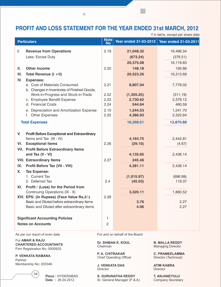# **PROFIT AND LOSS STATEMENT FOR THE YEAR ENDED 31st MARCH, 2012**

 $\mathbb{R}^n$ 

 $\bar{\tau}$  in lakhs, except per share data

|     | <b>Particulars</b>                                                                          | <b>Note</b><br><b>No</b> | <b>Year ended 31-03-2012</b> | <b>Year ended 31-03-2011</b> |
|-----|---------------------------------------------------------------------------------------------|--------------------------|------------------------------|------------------------------|
| L.  | <b>Revenue from Operations</b>                                                              | 2.19                     | 21,048.32                    | 16,496.34                    |
|     | Less: Excise Duty                                                                           |                          | (673.24)                     | (376.51)                     |
|     |                                                                                             |                          | 20,375.08                    | 16,119.83                    |
| Ш.  | <b>Other Income</b>                                                                         | 2.20                     | 148.18                       | 193.86                       |
| Ш.  | Total Revenue (I +II)                                                                       |                          | 20,523.26                    | 16,313.69                    |
| IV. | <b>Expenses:</b>                                                                            |                          |                              |                              |
|     | a. Cost of Materials Consumed<br>b. Changes in Inventories of Finished Goods,               | 2.21                     | 8,807.04                     | 7,778.02                     |
|     | Work-in-Progress and Stock-in-Trade                                                         | 2.22                     | (1,355.25)                   | (311.19)                     |
|     | c. Employee Benefit Expense                                                                 | 2.23                     | 2,730.62                     | 2,379.12                     |
|     | d. Financial Costs                                                                          | 2.24                     | 544.64                       | 460.59                       |
|     | e. Depreciation and Amortization Expense                                                    | 2.10                     | 1,244.53                     | 1,241.70                     |
|     | f. Other Expenses                                                                           | 2.25                     | 4,386.93                     | 2,322.64                     |
|     | <b>Total Expenses</b>                                                                       |                          | 16,358.51                    | 13,870.88                    |
|     |                                                                                             |                          |                              |                              |
| V.  | <b>Profit Before Exceptional and Extraordinary</b>                                          |                          |                              |                              |
|     | Items and Tax (III - IV)                                                                    |                          | 4,164.75                     | 2,442.81                     |
| VI. | <b>Exceptional Items</b>                                                                    | 2.26                     | (29.10)                      | (4.67)                       |
|     | <b>VII. Profit Before Extraordinary Items</b><br>and Tax $(V - VI)$                         |                          | 4,135.65                     | 2,438.14                     |
|     | <b>VIII. Extraordinary Items</b>                                                            | 2.27                     | 245.46                       |                              |
| IX. | Profit Before Tax (VII - VIII)                                                              |                          | 4,381.11                     | 2,438.14                     |
| Х.  | <b>Tax Expense:</b>                                                                         |                          |                              |                              |
|     | 1. Current Tax                                                                              |                          | (1,015.97)                   | (696.99)                     |
|     | 2. Deferred Tax                                                                             | 2.4                      | (45.03)                      | 119.37                       |
|     | XI. Profit / (Loss) for the Period from                                                     |                          |                              |                              |
|     | Continuing Operations (IX - X)                                                              |                          | 3,320.11                     | 1,860.52                     |
|     | XVI. EPS: (In Rupees) (Face Value Rs.2/-)                                                   | 2.28                     |                              |                              |
|     | Basic and Diluted before extraordinary items<br>Basic and Diluted after extraordinary items |                          | 3.76<br>4.06                 | 2.27<br>2.27                 |
|     |                                                                                             |                          |                              |                              |
|     | <b>Significant Accounting Policies</b>                                                      | 1                        |                              |                              |
|     | <b>Notes on Accounts</b>                                                                    | 2                        |                              |                              |
|     |                                                                                             |                          |                              |                              |

As per our report of even date

For **AMAR & RAJU CHARTERED ACCOUNTANTS** Firm Registration No: 000092S

**P. VENKATA RAMANA** Partner Membership No: 203346

34

**Place :** HYDERABAD **Date :** 26.04.2012

For and on behalf of the Board

**Dr. SHIBAN K. KOUL** Chairman

**P. A. CHITRAKAR** Chief Operating Officer

**J. VENKATA DAS Director** 

**S. GURUNATHA REDDY** Sr. General Manager (F & A)

**B. MALLA REDDY** Managing Director

**C. PRAMEELAMMA** Director (Technical)

**ATIM KABRA Director** 

**T. ANJANEYULU** Company Secretary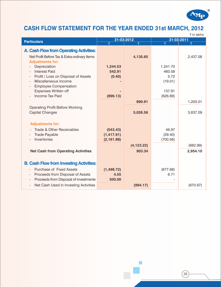

# **CASH FLOW STATEMENT FOR THE YEAR ENDED 31st MARCH, 2012**

| ₹ in lakhs                                                        |             |             |            |          |  |
|-------------------------------------------------------------------|-------------|-------------|------------|----------|--|
| <b>Particulars</b>                                                | 31-03-2012  |             | 31-03-2011 |          |  |
|                                                                   | ₹           | ₹           | ₹          | ₹        |  |
| A. Cash Flow from Operating Activities:                           |             |             |            |          |  |
| Net Profit Before Tax & Extra-ordinary Items                      |             | 4,135.65    |            | 2,437.08 |  |
| <b>Adjustments for:</b>                                           |             |             |            |          |  |
| Depreciation                                                      | 1,244.53    |             | 1,241.70   |          |  |
| <b>Interest Paid</b>                                              | 542.91      |             | 460.58     |          |  |
| Profit / Loss on Disposal of Assets<br>$\overline{\phantom{a}}$   | (0.40)      |             | 5.72       |          |  |
| Miscellaneous Income                                              |             |             | (19.01)    |          |  |
| <b>Employee Compensation</b>                                      |             |             |            |          |  |
| <b>Expenses Written off</b>                                       |             |             | 137.91     |          |  |
| <b>Income Tax Paid</b>                                            | (896.13)    |             | (626.89)   |          |  |
|                                                                   |             | 890.91      |            | 1,200.01 |  |
|                                                                   |             |             |            |          |  |
| <b>Operating Profit Before Working</b>                            |             |             |            |          |  |
| <b>Capital Changes</b>                                            |             | 5,026.56    |            | 3,637.09 |  |
|                                                                   |             |             |            |          |  |
| <b>Adjustments for:</b>                                           |             |             |            |          |  |
| Trade & Other Receivables                                         | (543.43)    |             | 46.97      |          |  |
| <b>Trade Payable</b>                                              | (1,417.91)  |             | (29.40)    |          |  |
| Inventories                                                       | (2, 161.88) |             | (700.56)   |          |  |
|                                                                   |             | (4, 123.22) |            | (682.99) |  |
| <b>Net Cash from Operating Activities</b>                         |             | 903.34      |            | 2,954.10 |  |
|                                                                   |             |             |            |          |  |
| <b>B. Cash Flow from Investing Activities:</b>                    |             |             |            |          |  |
| Purchase of Fixed Assets                                          | (1,498.72)  |             | (677.68)   |          |  |
| Proceeds from Disposal of Assets                                  | 4.55        |             | 6.71       |          |  |
| Proceeds from Disposal of investments                             | 500.00      |             |            |          |  |
| Net Cash Used in Investing Activities<br>$\overline{\phantom{a}}$ |             | (994.17)    |            | (670.97) |  |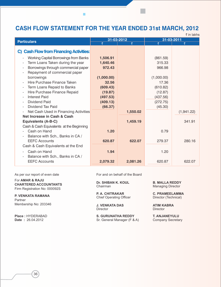# **CASH FLOW STATEMENT FOR THE YEAR ENDED 31st MARCH, 2012**

 $\mathbb{R}^n$ 

 $\bar{\tau}$  in lakhs

|                                          | 31-03-2012 |          |            | 31-03-2011 |
|------------------------------------------|------------|----------|------------|------------|
| <b>Particulars</b>                       | ₹          | ₹        | ₹          | ₹          |
| C) Cash Flow from Financing Activities:  |            |          |            |            |
| Working Capital Borrowings from Banks    | 1,506.91   |          | (861.59)   |            |
| Term Loans Taken during the year         | 1,640.46   |          | 315.33     |            |
| Borrowings through commercial paper      | 972.43     |          | 966.98     |            |
| Repayment of commercial paper            |            |          |            |            |
| borrowings                               | (1,000.00) |          | (1,000.00) |            |
| Hire Purchase Finance Taken              | 32.56      |          | 17.36      |            |
| Term Loans Repaid to Banks               | (609.43)   |          | (610.82)   |            |
| Hire Purchase Finance Repaid             | (19.87)    |          | (12.87)    |            |
| <b>Interest Paid</b>                     | (497.53)   |          | (437.56)   |            |
| Dividend Paid                            | (409.13)   |          | (272.75)   |            |
| Dividend Tax Paid                        | (66.37)    |          | (45.30)    |            |
| Net Cash Used in Financing Activities    |            | 1,550.02 |            | (1,941.22) |
| Net Increase in Cash & Cash              |            |          |            |            |
| <b>Equivalents (A-B-C)</b>               |            | 1,459.19 |            | 341.91     |
| Cash & Cash Equivalents at the Beginning |            |          |            |            |
| Cash on Hand                             | 1.20       |          | 0.79       |            |
| Balance with Sch., Banks in CA /         |            |          |            |            |
| <b>EEFC Accounts</b>                     | 620.87     | 622.07   | 279.37     | 280.16     |
| Cash & Cash Equivalents at the End       |            |          |            |            |
| Cash on Hand                             | 1.94       |          | 1.20       |            |
| Balance with Sch., Banks in CA /         |            |          |            |            |
| <b>EEFC Accounts</b>                     | 2,079.32   | 2,081.26 | 620.87     | 622.07     |
|                                          |            |          |            |            |

As per our report of even date

For **AMAR & RAJU CHARTERED ACCOUNTANTS** Firm Registration No: 000092S

**P. VENKATA RAMANA** Partner Membership No: 203346

**Place :** HYDERABAD **Date :** 26.04.2012

For and on behalf of the Board

**Dr. SHIBAN K. KOUL** Chairman

**P. A. CHITRAKAR** Chief Operating Officer

**J. VENKATA DAS** Director

**S. GURUNATHA REDDY** Sr. General Manager (F & A)

**B. MALLA REDDY** Managing Director

**C. PRAMEELAMMA** Director (Technical)

**ATIM KABRA** Director

**T. ANJANEYULU** Company Secretary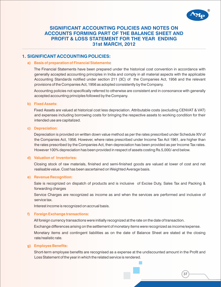

#### **SIGNIFICANT ACCOUNTING POLICIES AND NOTES ON ACCOUNTS FORMING PART OF THE BALANCE SHEET AND PROFIT & LOSS STATEMENT FOR THE YEAR ENDING 31st MARCH, 2012**

#### **1. SIGNIFICANT ACCOUNTING POLICIES:**

#### **a) Basis of preparation of Financial Statements :**

The Financial Statements have been prepared under the historical cost convention in accordance with generally accepted accounting principles in India and comply in all material aspects with the applicable Accounting Standards notified under section 211 (3C) of the Companies Act, 1956 and the relevant provisions of the Companies Act, 1956 as adopted consistently by the Company.

Accounting policies not specifically referred to otherwise are consistent and in consonance with generally accepted accounting principles followed by the Company.

#### **b) Fixed Assets:**

Fixed Assets are valued at historical cost less depreciation. Attributable costs (excluding CENVAT & VAT) and expenses including borrowing costs for bringing the respective assets to working condition for their intended use are capitalized.

#### **c) Depreciation:**

Depreciation is provided on written down value method as per the rates prescribed under Schedule XIV of the Companies Act, 1956. However, where rates prescribed under Income Tax Act 1961, are higher than the rates prescribed by the Companies Act, then depreciation has been provided as per Income Tax rates. However 100% depreciation has been provided in respect of assets costing Rs.5,000/-and below.

#### **d) Valuation of Inventories:**

Closing stock of raw materials, finished and semi-finished goods are valued at lower of cost and net realisable value. Cost has been ascertained on Weighted Average basis.

#### **e) Revenue Recognition:**

Sale is recognized on dispatch of products and is inclusive of Excise Duty, Sales Tax and Packing & forwarding charges

Service Charges are recognized as income as and when the services are performed and inclusive of service tax.

Interest income is recognized on accrual basis.

#### **f) Foreign Exchange transactions:**

All foreign currency transactions were initially recognized at the rate on the date of transaction.

Exchange differences arising on the settlement of monetary items were recognized as income/expense.

Monetary items and contingent liabilities as on the date of Balance Sheet are stated at the closing rate/realistic rate.

#### **g) Employee Benefits:**

Short-term employee benefits are recognised as a expense at the undiscounted amount in the Profit and Loss Statement of the year in which the related service is rendered.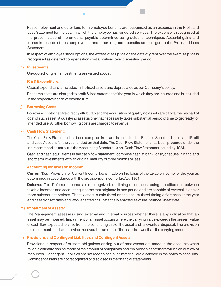Post employment and other long term employee benefits are recognised as an expense in the Profit and Loss Statement for the year in which the employee has rendered services. The expense is recognised at the present value of the amounts payable determined using actuarial techniques. Actuarial gains and losses in respect of post employment and other long term benefits are charged to the Profit and Loss Statement.

In respect of employee stock options, the excess of fair price on the date of grant over the exercise price is recognised as deferred compensation cost amortised over the vesting period.

#### **h) Investments:**

Un-quoted long term Investments are valued at cost.

 $\mathcal{L}_{\mathcal{A}}$ 

#### **i) R & D Expenditure:**

Capital expenditure is included in the fixed assets and depreciated as per Company's policy.

Research costs are charged to profit & loss statement of the year in which they are incurred and is included in the respective heads of expenditure.

#### **j) Borrowing Costs:**

Borrowing costs that are directly attributable to the acquisition of qualifying assets are capitalized as part of cost of such asset. A qualifying asset is one that necessarily takes substantial period of time to get ready for intended use. All other borrowing costs are charged to revenue.

#### **k) Cash Flow Statement:**

The Cash Flow Statement has been compiled from and is based on the Balance Sheet and the related Profit and Loss Account for the year ended on that date. The Cash Flow Statement has been prepared under the indirect method as set out in the Accounting Standard - 3 on Cash Flow Statement issued by ICAI.

Cash and cash equivalents in the cash flow statement comprise cash at bank, cash/cheques in hand and short term investments with an original maturity of three months or less.

#### **l) Accounting for Taxes on Income:**

**Current Tax:** Provision for Current Income Tax is made on the basis of the taxable income for the year as determined in accordance with the provisions of Income Tax Act, 1961.

**Deferred Tax:** Deferred income tax is recognized, on timing differences, being the difference between taxable incomes and accounting income that originate in one period and are capable of reversal in one or more subsequent periods. The tax effect is calculated on the accumulated timing differences at the year end based on tax rates and laws, enacted or substantially enacted as of the Balance Sheet date.

#### **m) Impairment of Assets:**

38

The Management assesses using external and internal sources whether there is any indication that an asset may be impaired. Impairment of an asset occurs where the carrying value exceeds the present value of cash flow expected to arise from the continuing use of the asset and its eventual disposal. The provision for impairment loss is made when recoverable amount of the asset is lower than the carrying amount.

#### **n) Provisions and Contingent Liabilities and Contingent Assets:**

Provisions in respect of present obligations arising out of past events are made in the accounts when reliable estimate can be made of the amount of obligations and it is probable that there will be an outflow of resources. Contingent Liabilities are not recognized but if material, are disclosed in the notes to accounts. Contingent assets are not recognized or disclosed in the financial statements.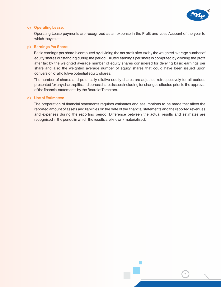

#### **o) Operating Lease:**

Operating Lease payments are recognized as an expense in the Profit and Loss Account of the year to which they relate.

#### **p) Earnings Per Share:**

Basic earnings per share is computed by dividing the net profit after tax by the weighted average number of equity shares outstanding during the period. Diluted earnings per share is computed by dividing the profit after tax by the weighted average number of equity shares considered for deriving basic earnings per share and also the weighted average number of equity shares that could have been issued upon conversion of all dilutive potential equity shares.

The number of shares and potentially dilutive equity shares are adjusted retrospectively for all periods presented for any share splits and bonus shares issues including for changes effected prior to the approval of the financial statements by the Board of Directors.

#### **q) Use of Estimates:**

The preparation of financial statements requires estimates and assumptions to be made that affect the reported amount of assets and liabilities on the date of the financial statements and the reported revenues and expenses during the reporting period. Difference between the actual results and estimates are recognised in the period in which the results are known / materialised.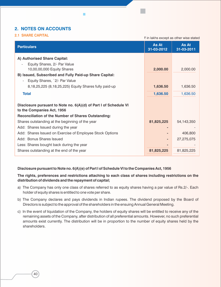#### **2. NOTES ON ACCOUNTS**

#### **2.1 SHARE CAPITAL**

| ₹ in lakhs except as other wise stated |
|----------------------------------------|
|----------------------------------------|

| <b>Particulars</b>                                                                             | <b>As At</b><br>31-03-2012 | <b>As At</b><br>31-03-2011 |
|------------------------------------------------------------------------------------------------|----------------------------|----------------------------|
| A) Authorised Share Capital:                                                                   |                            |                            |
| Equity Shares, 2/- Par Value<br>$\frac{1}{2}$                                                  |                            |                            |
| 10,00,00,000 Equity Shares                                                                     | 2,000.00                   | 2,000.00                   |
| B) Issued, Subscribed and Fully Paid-up Share Capital:                                         |                            |                            |
| Equity Shares, `2/- Par Value                                                                  |                            |                            |
| 8,18,25,225 (8,18,25,225) Equity Shares fully paid-up                                          | 1,636.50                   | 1,636.50                   |
| <b>Total</b>                                                                                   | 1,636.50                   | 1,636.50                   |
|                                                                                                |                            |                            |
| Disclosure pursuant to Note no. 6(A)(d) of Part I of Schedule VI<br>to the Companies Act, 1956 |                            |                            |
| <b>Reconciliation of the Number of Shares Outstanding:</b>                                     |                            |                            |
| Shares outstanding at the beginning of the year                                                | 81,825,225                 | 54,143,350                 |
| Add: Shares Issued during the year                                                             |                            |                            |
| Add: Shares Issued on Exercise of Employee Stock Options                                       |                            | 406,800                    |
| Add: Bonus Shares Issued                                                                       |                            | 27,275,075                 |
| Less: Shares bought back during the year                                                       |                            |                            |
| Shares outstanding at the end of the year                                                      | 81,825,225                 | 81,825,225                 |

 $\mathbb{R}^n$ 

#### **Disclosure pursuant to Note no. 6(A)(e) of Part I of Schedule VI to the Companies Act, 1956**

**The rights, preferences and restrictions attaching to each class of shares including restrictions on the distribution of dividends and the repayment of capital;**

- a) The Company has only one class of shares referred to as equity shares having a par value of Rs.2/-. Each holder of equity shares is entitled to one vote per share.
- b) The Company declares and pays dividends in Indian rupees. The dividend proposed by the Board of Directors is subject to the approval of the shareholders in the ensuing Annual General Meeting.
- c) In the event of liquidation of the Company, the holders of equity shares will be entitled to receive any of the remaining assets of the Company, after distribution of all preferential amounts. However, no such preferential amounts exist currently. The distribution will be in proportion to the number of equity shares held by the shareholders.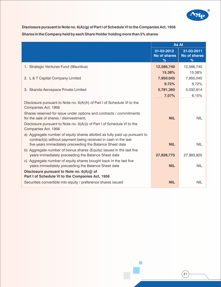

**Disclosure pursuant to Note no. 6(A)(g) of Part I of Schedule VI to the Companies Act, 1956 Shares in the Company held by each Share Holder holding more than 5% shares**

|                                                                                                                                                                                                                                                                                                                    | <b>As At</b>                           |                                        |
|--------------------------------------------------------------------------------------------------------------------------------------------------------------------------------------------------------------------------------------------------------------------------------------------------------------------|----------------------------------------|----------------------------------------|
|                                                                                                                                                                                                                                                                                                                    | 31-03-2012<br><b>No of shares</b><br>% | 31-03-2011<br><b>No of shares</b><br>% |
| 1. Strategic Ventures Fund (Mauritius)                                                                                                                                                                                                                                                                             | 12,586,740                             | 12,586,740                             |
|                                                                                                                                                                                                                                                                                                                    | 15.38%                                 | 15.38%                                 |
| 2. L & T Capital Company Limited                                                                                                                                                                                                                                                                                   | 7,950,045                              | 7,950,045                              |
|                                                                                                                                                                                                                                                                                                                    | 9.72%                                  | 9.72%                                  |
| 3. Skanda Aerospace Private Limited                                                                                                                                                                                                                                                                                | 5,781,360                              | 5,032,814                              |
|                                                                                                                                                                                                                                                                                                                    | 7.07%                                  | 6.15%                                  |
| Disclosure pursuant to Note no. 6(A)(h) of Part I of Schedule VI to the<br>Companies Act, 1956<br>Shares reserved for issue under options and contracts / commitments<br>for the sale of shares / disinvestment;<br>Disclosure pursuant to Note no. 6(A)(i) of Part I of Schedule VI to the<br>Companies Act, 1956 | <b>NIL</b>                             | <b>NIL</b>                             |
| a) Aggregate number of equity shares allotted as fully paid up pursuant to<br>contract(s) without payment being received in cash in the last<br>five years immediately preceeding the Balance Sheet date                                                                                                           | <b>NIL</b>                             | <b>NIL</b>                             |
| b) Aggregate number of bonus shares (Equity) issued in the last five<br>years immediately preceeding the Balance Sheet date                                                                                                                                                                                        | 27,826,775                             | 27,993,925                             |
| c) Aggregate number of equity shares bought back in the last five<br>years immediately preceeding the Balance Sheet date                                                                                                                                                                                           | <b>NIL</b>                             | <b>NIL</b>                             |
| Disclosure pursuant to Note no. 6(A)(j) of                                                                                                                                                                                                                                                                         |                                        |                                        |
| Part I of Schedule VI to the Companies Act, 1956                                                                                                                                                                                                                                                                   |                                        |                                        |
| Securities convertible into equity / preference shares issued                                                                                                                                                                                                                                                      | <b>NIL</b>                             | <b>NIL</b>                             |



 $\mathbb{R}^n$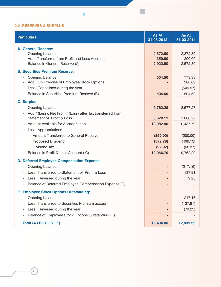#### **2.2 RESERVES & SURPLUS**

| <b>Particulars</b>                                                                                                                                                                                                                                                                                     | As At<br>31-03-2012                                       | As At<br>31-03-2011                                      |
|--------------------------------------------------------------------------------------------------------------------------------------------------------------------------------------------------------------------------------------------------------------------------------------------------------|-----------------------------------------------------------|----------------------------------------------------------|
| A. General Reserve:<br>Opening balance<br>Add: Transferred from Profit and Loss Account<br>Balance in General Reserve (A)                                                                                                                                                                              | 2,572.80<br>350.00<br>2,922.80                            | 2,372.80<br>200.00<br>2,572.80                           |
| <b>B. Securities Premium Reserve:</b><br>Opening balance<br>Add: On Exercise of Employee Stock Options<br>Less: Capitalised during the year<br>$\blacksquare$<br>Balance in Securities Premium Reserve (B)                                                                                             | 504.50<br>504.50                                          | 773.38<br>280.69<br>(549.57)<br>504.50                   |
| <b>C. Surplus:</b><br>Opening balance<br>$\overline{a}$<br>Add / (Less): Net Profit / (Loss) after Tax transferred from<br>Statement of Profit & Loss                                                                                                                                                  | 9,762.29<br>3,320.11                                      | 8,577.27<br>1,860.52                                     |
| Amount Available for Appropriation<br>Less: Appropriations<br>$\overline{\phantom{a}}$<br>Amount Transferred to General Reserve<br>Proposed Dividend<br><b>Dividend Tax</b><br>Balance in Profit & Loss Account (.C)                                                                                   | 13,082.40<br>(350.00)<br>(572.78)<br>(92.92)<br>12,066.70 | 10,437.79<br>(200.00)<br>(409.13)<br>(66.37)<br>9,762.29 |
| <b>D. Deferred Employee Compensation Expense:</b><br>Opening balance<br>Less: Transferred to Statement of Profit & Loss<br>$\overline{\phantom{0}}$<br>Less: Reversed during the year<br>$\overline{\phantom{0}}$<br>Balance of Deferred Employee Compensation Expense (D)<br>$\overline{\phantom{0}}$ | ٠<br>٠<br>٠                                               | (217.16)<br>137.91<br>79.25                              |
| <b>E. Employee Stock Options Outstanding:</b><br>Opening balance<br>Less: Transferred to Securities Premium account<br>$\overline{\phantom{a}}$<br>Less: Reversed during the year<br>Balance of Employee Stock Options Outstanding (E)<br>Total $(A+B+C+D+E)$                                          | $\blacksquare$<br>÷<br>٠<br>15,494.00                     | 217.16<br>(137.91)<br>(79.25)<br>12,839.59               |

 $\overline{\phantom{a}}$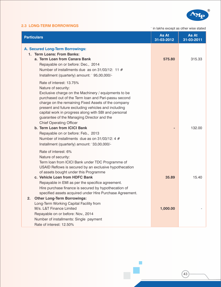

#### **2.3 LONG-TERM BORROWINGS**

` in lakhs except as other wise stated

43

 $\mathbb{R}^3$ 

ιF.

| <b>Particulars</b>                                                                                                                                                                                                                                                                                                                                                                                                                                                                                                                                                                            | <b>As At</b><br>31-03-2012 | <b>As At</b><br>31-03-2011 |
|-----------------------------------------------------------------------------------------------------------------------------------------------------------------------------------------------------------------------------------------------------------------------------------------------------------------------------------------------------------------------------------------------------------------------------------------------------------------------------------------------------------------------------------------------------------------------------------------------|----------------------------|----------------------------|
| A. Secured Long-Term Borrowings:<br>1. Term Loans: From Banks:<br>a. Term Loan from Canara Bank<br>Repayable on or before: Dec., 2014<br>Number of installments due as on 31/03/12: 11 #<br>Installment (quarterly) amount: ` 95,00,000/-                                                                                                                                                                                                                                                                                                                                                     | 575.80                     | 315.33                     |
| Rate of interest: 13.75%<br>Nature of security:<br>Exclusive charge on the Machinery / equipments to be<br>purchased out of the Term loan and Pari-passu second<br>charge on the remaining Fixed Assets of the company<br>present and future excluding vehicles and including<br>capital work in progress along with SBI and personal<br>guarantee of the Managing Director and the<br><b>Chief Operating Officer</b><br>b. Term Loan from ICICI Bank<br>Repayable on or before: Feb., 2013<br>Number of installments due as on 31/03/12: 4 #<br>Installment (quarterly) amount: `33,00,000/- |                            | 132.00                     |
| Rate of interest: 6%<br>Nature of security:<br>Term loan from ICICI Bank under TDC Programme of<br>USAID Reflows is secured by an exclusive hypothecation<br>of assets bought under this Programme<br>c. Vehicle Loan from HDFC Bank<br>Repayable in EMI as per the specifice agreement.<br>Hire purchase finance is secured by hypothecation of<br>specified assets acquired under Hire Purchase Agreement.                                                                                                                                                                                  | 35.89                      | 15.40                      |
| <b>Other Long-Term Borrowings:</b><br>2.<br>Long-Term Working Capital Facility from<br>M/s. L&T Finance Limited<br>Repayable on or before: Nov., 2014<br>Number of installments: Single payment<br>Rate of interest: 12.50%                                                                                                                                                                                                                                                                                                                                                                   | 1,000.00                   |                            |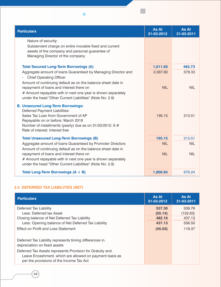| <b>Particulars</b>                                                                                                                                                                                                                                          | <b>As At</b><br>31-03-2012 | <b>As At</b><br>31-03-2011 |
|-------------------------------------------------------------------------------------------------------------------------------------------------------------------------------------------------------------------------------------------------------------|----------------------------|----------------------------|
| Nature of security:<br>Subservient charge on entire movable fixed and current<br>assets of the company and personal guarantee of<br>Managing Director of the company                                                                                        |                            |                            |
| <b>Total Secured Long-Term Borrowings (A)</b>                                                                                                                                                                                                               | 1,611.69                   | 462.73                     |
| Aggregate amount of loans Guaranteed by Managing Director and<br><b>Chief Operating Officer</b><br>$\overline{\phantom{a}}$                                                                                                                                 | 2,087.80                   | 579.33                     |
| Amount of continuing default as on the balance sheet date in<br>repayment of loans and interest there on<br># Amount repayable with in next one year is shown separately<br>under the head "Other Current Liabilities" (Note No: 2.9)                       | <b>NIL</b>                 | <b>NIL</b>                 |
| <b>B. Unsecured Long-Term Borrowings:</b><br>Deferred Payment Liabilities:<br>Sales Tax Loan from Government of AP<br>Repayable on or before: March 2018<br>Number of installments (yearly) due as on $31/03/2012$ : 6 #<br>Rate of interest: Interest free | 195.15                     | 213.51                     |
| <b>Total Unsecured Long-Term Borrowings (B)</b>                                                                                                                                                                                                             | 195.15                     | 213.51                     |
| Aggregate amount of loans Guaranteed by Promoter Directors<br>Amount of continuing default as on the balance sheet date in                                                                                                                                  | <b>NIL</b>                 | <b>NIL</b>                 |
| repayment of loans and interest there on<br># Amount repayable with in next one year is shown separately<br>under the head "Other Current Liabilities" (Note No: 2.9)                                                                                       | <b>NIL</b>                 | <b>NIL</b>                 |
| <b>Total Long-Term Borrowings <math>(A + B)</math></b>                                                                                                                                                                                                      | 1,806.84                   | 676.24                     |

 $\overline{\phantom{a}}$ 

#### **2.4 DEFERRED TAX LIABILITIES (NET)**

| <b>Particulars</b>                                                                                                                                                                                                                                            | As At<br>31-03-2012                              | As At<br>31-03-2011                              |
|---------------------------------------------------------------------------------------------------------------------------------------------------------------------------------------------------------------------------------------------------------------|--------------------------------------------------|--------------------------------------------------|
| Deferred Tax Liability<br>Less: Deferred tax Asset<br>Closing balance of Net Deferred Tax Liability<br>Less: Opening balance of Net Deferred Tax Liability<br>Effect on Profit and Loss Statement                                                             | 537.30<br>(55.14)<br>482.16<br>437.13<br>(45.03) | 539.76<br>(102.63)<br>437.13<br>556.50<br>119.37 |
| Deferred Tax Liability represents timing differences in.<br>depreciation on fixed assets<br>Deferred Tax Assets represents Provision for Gratuity and.<br>Leave Encashment, which are allowed on payment basis as<br>per the provisions of the Income Tax Act |                                                  |                                                  |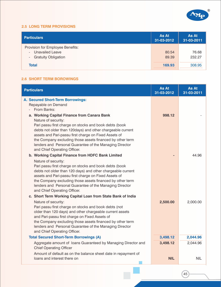

#### **2.5 LONG TERM PROVISIONS**

| <b>Particulars</b>                                                                                              | <b>As At</b><br>31-03-2012 | As At<br>31-03-2011 |
|-----------------------------------------------------------------------------------------------------------------|----------------------------|---------------------|
| Provision for Employee Benefits:<br><b>Unavailed Leave</b><br>$\overline{\phantom{a}}$<br>- Gratuity Obligation | 80.54<br>89.39             | 76.68<br>232.27     |
| <b>Total</b>                                                                                                    | 169.93                     | 308.95              |

#### **2.6 SHORT TERM BOROWINGS**

| <b>Particulars</b>                                                                                                                                                                                                                                                                                                                                 | <b>As At</b><br>31-03-2012 | <b>As At</b><br>31-03-2011 |
|----------------------------------------------------------------------------------------------------------------------------------------------------------------------------------------------------------------------------------------------------------------------------------------------------------------------------------------------------|----------------------------|----------------------------|
| A. Secured Short-Term Borrowings:<br>Repayable on Demand<br>From Banks:<br>a. Working Capital Finance from Canara Bank<br>Nature of security:<br>Pari passu first charge on stocks and book debts (book<br>debts not older than 120days) and other chargeable current                                                                              | 998.12                     |                            |
| assets and Pari-passu first charge on Fixed Assets of<br>the Company excluding those assets financed by other term<br>lenders and Personal Guarantee of the Managing Director<br>and Chief Operating Officer.                                                                                                                                      |                            |                            |
| b. Working Capital Finance from HDFC Bank Limited<br>Nature of security:                                                                                                                                                                                                                                                                           |                            | 44.96                      |
| Pari passu first charge on stocks and book debts (book<br>debts not older than 120 days) and other chargeable current<br>assets and Pari-passu first charge on Fixed Assets of<br>the Company excluding those assets financed by other term<br>lenders and Personal Guarantee of the Managing Director<br>and Chief Operating Officer.             |                            |                            |
| c. Short Term Working Capital Loan from State Bank of India                                                                                                                                                                                                                                                                                        |                            |                            |
| Nature of security:<br>Pari passu first charge on stocks and book debts (not<br>older than 120 days) and other chargeable current assets<br>and Pari-passu first charge on Fixed Assets of<br>the Company excluding those assets financed by other term<br>lenders and Personal Guarantee of the Managing Director<br>and Chief Operating Officer. | 2,500.00                   | 2,000.00                   |
| <b>Total Secured Short-Term Borrowings (A)</b>                                                                                                                                                                                                                                                                                                     | 3,498.12                   | 2,044.96                   |
| Aggregate amount of loans Guaranteed by Managing Director and<br><b>Chief Operating Officer</b>                                                                                                                                                                                                                                                    | 3,498.12                   | 2,044.96                   |
| Amount of default as on the balance sheet date in repayment of<br>loans and interest there on                                                                                                                                                                                                                                                      | <b>NIL</b>                 | <b>NIL</b>                 |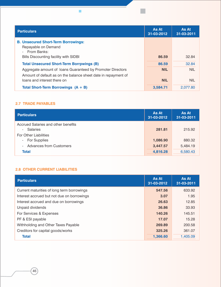| <b>Particulars</b>                                                                                                                                          | As At<br>31-03-2012      | As At<br>31-03-2011      |
|-------------------------------------------------------------------------------------------------------------------------------------------------------------|--------------------------|--------------------------|
| <b>B. Unsecured Short-Term Borrowings:</b><br>Repayable on Demand<br>From Banks:                                                                            |                          |                          |
| Bills Discounting facility with SIDBI                                                                                                                       | 86.59                    | 32.84                    |
| <b>Total Unsecured Short-Term Borrpwings (B)</b>                                                                                                            | 86.59                    | 32.84                    |
| Aggregate amount of loans Guaranteed by Promoter Directors<br>Amount of default as on the balance sheet date in repayment of<br>loans and interest there on | <b>NIL</b><br><b>NIL</b> | <b>NIL</b><br><b>NIL</b> |
| Total Short-Term Borrowings $(A + B)$                                                                                                                       | 3.584.71                 | 2.077.80                 |

 $\overline{\phantom{a}}$ 

#### **2.7 TRADE PAYABLES**

| <b>Particulars</b>                                | As At<br>31-03-2012 | As At<br>31-03-2011 |
|---------------------------------------------------|---------------------|---------------------|
| Accrued Salaries and other benefits<br>- Salaries | 281.81              | 215.92              |
| <b>For Other Liabilities</b><br>- For Supplies    | 1,086.90            | 880.32              |
| - Advances from Customers                         | 3,447.57            | 5,484.19            |
| <b>Total</b>                                      | 4,816.28            | 6,580.43            |

#### **2.8 OTHER CURRENT LIABILITIES**

| <b>Particulars</b>                         | As At<br>31-03-2012 | <b>As At</b><br>31-03-2011 |
|--------------------------------------------|---------------------|----------------------------|
| Current maturities of long term borrowings | 547.56              | 633.92                     |
| Interest accrued but not due on borrowings | 3.07                | 1.95                       |
| Interest accrued and due on borrowings     | 26.63               | 12.85                      |
| Unpaid dividends                           | 36.86               | 33.93                      |
| For Services & Expenses                    | 140.26              | 145.51                     |
| PF & ESI payable                           | 17.07               | 15.28                      |
| Withholding and Other Taxes Payable        | 269.89              | 200.58                     |
| Creditors for capital goods/works          | 325.26              | 361.07                     |
| <b>Total</b>                               | 1,366.60            | 1,405.09                   |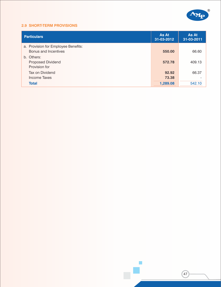

 $\mathcal{L}_{\mathcal{A}}$ 

æ.

#### **2.9 SHORT-TERM PROVISIONS**

| <b>Particulars</b>                                          | As At<br>31-03-2012 | As At<br>31-03-2011 |
|-------------------------------------------------------------|---------------------|---------------------|
| a. Provision for Employee Benefits:<br>Bonus and Incentives | 550.00              | 66.60               |
| b. Others:<br><b>Proposed Dividend</b><br>Provision for     | 572.78              | 409.13              |
| Tax on Dividend<br>Income Taxes                             | 92.92<br>73.38      | 66.37               |
| <b>Total</b>                                                | 1,289.08            | 542.10              |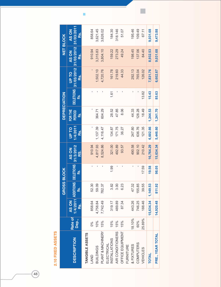2.10 FIXED ASSETS **2.10 FIXED ASSETS**

48

|                             |                  |                     | <u>წ</u>                | <b>NOSS BLOCK</b>      |                                         |                                    |                        | DEPRECIATION |                                                      |                                  | <b>NEL BLOCK</b>                 |
|-----------------------------|------------------|---------------------|-------------------------|------------------------|-----------------------------------------|------------------------------------|------------------------|--------------|------------------------------------------------------|----------------------------------|----------------------------------|
| <b>DESCRIPTION</b>          | Rate of<br>Dep., | <b>NS ON</b><br>Rs. | 1/4/2011 ADDITIONS<br>æ | <b>DELETIONS</b><br>œ. | 31/3/2012<br><b>AS ON</b><br><u>လုံ</u> | 1/4/2011<br><b>DL</b><br>BL<br>Rs. | FOR THE<br>PERIOD<br>œ | œ.           | DELETIONS 31/03/2012<br><b>DL</b><br>HD<br><u>ශ්</u> | 31/03/2012<br>AS ON<br><u>ශ්</u> | 31/03/2011<br>AS ON<br><u>ഗ്</u> |
| TANGIBLE ASSETS             |                  |                     |                         |                        |                                         |                                    |                        |              |                                                      |                                  |                                  |
| <b>LAND</b>                 | 0%               | 858.64              | 52.30                   |                        | 910.94                                  |                                    |                        |              |                                                      | 910.94                           | 858.64                           |
| <b>BUILDINGS</b>            | 10%              | 4,758.84            | 59.09                   |                        | 4,817.93                                | ,137.39                            | 364.71                 |              | 1,502.10                                             | 3,315.83                         | 3,621.45                         |
| PLANT & MACHINERY           | 15%              | 7,742.49            | 782.37                  |                        | 8,524.86                                | 4,116.47                           | 604.29                 |              | 4,720.76                                             | 3,804.10                         | 3,626.02                         |
| INSTALLATIONS<br>ELECTRICAL | 15%              | 319.17              | 3.82                    | 1.99                   | 321.00                                  | 134.87                             | 28.52                  | 1.61         | 161.78                                               | 159.22                           | 184.30                           |
| AIR CONDITIONERS            | 15%              | 489.89              | 3.00                    |                        | 492.89                                  | 171.75                             | 47.85                  |              | 219.60                                               | 273.29                           | 318.146                          |
| OFFICE EQUIPMENT            | 15%              | 87.34               | 6.23                    |                        | 93.57                                   | 36.27                              | 8.06                   |              | 44.33                                                | 49.24                            | 51.07                            |
| FURNITURE                   |                  |                     |                         |                        |                                         |                                    |                        |              |                                                      |                                  |                                  |
| & FIXTURES                  | 18.10%           | 443.26              | 17.32                   |                        | 490.58                                  | 247.80                             | 44.33                  |              | 292.13                                               | 198.45                           | 195.46                           |
| <b>COMPUTERS</b>            | 60%              | 746.25              | 55.85<br>$\tilde{\tau}$ |                        | 902.10                                  | 636.76                             | 128.28                 |              | 765.04                                               | 137.06                           | 109.49                           |
| VEHICLES                    | 25.89%           | 188.46              | 39.55                   | 17.59                  | 210.42                                  | 121.35                             | 18.49                  | 13.82        | 126.02                                               | 84.40                            | 67.11                            |
| <b>TOTAL</b>                |                  | 15,634.34           | 1,149.53                | 19.58                  | 16,764.29                               | 6,602.66                           | 1,244.53               | 15.43        | 7,831.76                                             | 8,932.53                         | 9,031.68                         |
| PRE., YEAR TOTAL            |                  | 14,920.48           | 11.92<br>ᇰ              | 98.05                  | 15,634.34                               | 5,446.60                           | 1,241.70               | 85.63        | 6,602.67                                             | 9,031.68                         | 9,473.88                         |
|                             |                  |                     |                         |                        |                                         |                                    |                        |              |                                                      |                                  |                                  |

 $\overline{\phantom{a}}$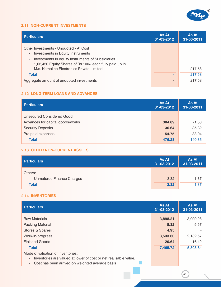

#### **2.11 NON-CURRENT INVESTMENTS**

| <b>Particulars</b>                                                                                                                        | As At<br>31-03-2012 | As At<br>31-03-2011 |
|-------------------------------------------------------------------------------------------------------------------------------------------|---------------------|---------------------|
| Other Investments - Unquoted - At Cost<br>Investments in Equity Instruments<br>$\overline{\phantom{0}}$                                   |                     |                     |
| Investments in equity instruments of Subsidiaries<br>$\overline{\phantom{a}}$<br>1,62,450 Equity Shares of Rs.100/- each fully paid up in |                     |                     |
| M/s. Komoline Electronics Private Limited                                                                                                 |                     | 217.58              |
| <b>Total</b>                                                                                                                              |                     | 217.58              |
| Aggregate amount of unquoted investments                                                                                                  |                     | 217.58              |

#### **2.12 LONG-TERM LOANS AND ADVANCES**

| <b>Particulars</b>               | <b>As At</b><br>31-03-2012 | As At<br>31-03-2011 |
|----------------------------------|----------------------------|---------------------|
| Unsecured Considered Good        |                            |                     |
| Advances for capital goods/works | 384.89                     | 71.50               |
| <b>Security Deposits</b>         | 36.64                      | 35.82               |
| Pre paid expenses                | 54.75                      | 33.04               |
| <b>Total</b>                     | 476.28                     | 140.36              |

#### **2.13 OTHER NON-CURRENT ASSETS**

| <b>Particulars</b>          | <b>As At</b><br>$31 - 03 - 2012$ | <b>As At</b><br>31-03-2011 |
|-----------------------------|----------------------------------|----------------------------|
| Others:                     |                                  |                            |
| - Unmatured Finance Charges | 3.32                             | 1.37                       |
| <b>Total</b>                | 3.32                             | 1.37                       |

#### **2.14 INVENTORIES**

| As At<br>31-03-2012 | <b>As At</b><br>31-03-2011 |
|---------------------|----------------------------|
| 3,898.21            | 3,099.28                   |
| 8.32                | 5.57                       |
| 4.95                |                            |
| 3,533.60            | 2,182.57                   |
| 20.64               | 16.42                      |
| 7,465.72            | 5,303.84                   |
|                     |                            |
|                     |                            |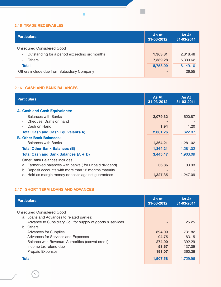#### **2.15 TRADE RECEIVABLES**

| <b>Particulars</b>                              | As At<br>31-03-2012 | As At<br>31-03-2011 |
|-------------------------------------------------|---------------------|---------------------|
| Unsecured Considered Good                       |                     |                     |
| - Outstanding for a period exceeding six months | 1,363.81            | 2,818.48            |
| Others                                          | 7,389.28            | 5,330.62            |
| <b>Total</b>                                    | 8,753.09            | 8,149.10            |
| Others include due from Subsidiary Company      |                     | 26.55               |

 $\overline{\phantom{a}}$ 

#### **2.16 CASH AND BANK BALANCES**

| <b>Particulars</b>                                     | As At<br>31-03-2012 | As At<br>31-03-2011 |
|--------------------------------------------------------|---------------------|---------------------|
| A. Cash and Cash Equivalents:                          |                     |                     |
| <b>Balances with Banks</b>                             | 2,079.32            | 620.87              |
| Cheques, Drafts on hand                                |                     |                     |
| Cash on Hand                                           | 1.94                | 1.20                |
| <b>Total Cash and Cash Equivalents(A)</b>              | 2,081.26            | 622.07              |
| <b>B. Other Bank Balances:</b>                         |                     |                     |
| <b>Balances with Banks</b>                             | 1,364.21            | 1,281.02            |
| Total Other Bank Balances (B)                          | 1,364.21            | 1,281.02            |
| Total Cash and Bank Balances (A + B)                   | 3,445.47            | 1,903.09            |
| Other Bank Balances includes:                          |                     |                     |
| a. Earmarked balances with banks (for unpaid dividend) | 36.86               | 33.93               |
| b. Deposit accounts with more than 12 months maturity  |                     |                     |
| c. Held as margin money deposits against guarantees    | 1,327.35            | 1,247.09            |

#### **2.17 SHORT TERM LOANS AND ADVANCES**

| <b>Particulars</b>                                        | As At<br>31-03-2012 | As At<br>31-03-2011 |
|-----------------------------------------------------------|---------------------|---------------------|
| Unsecured Considered Good                                 |                     |                     |
| a. Loans and Advances to related parties:                 |                     |                     |
| Advance to Subsidiary Co., for supply of goods & services |                     | 25.25               |
| b. Others                                                 |                     |                     |
| <b>Advances for Supplies</b>                              | 894.09              | 731.82              |
| Advances for Services and Expenses                        | 94.75               | 83.15               |
| Balance with Revenue Authorities (cenvat credit)          | 274.00              | 392.29              |
| Income tax refund due                                     | 53.67               | 137.09              |
| <b>Prepaid Expenses</b>                                   | 191.07              | 360.36              |
| <b>Total</b>                                              | 1,507.58            | 1,729.96            |
|                                                           |                     |                     |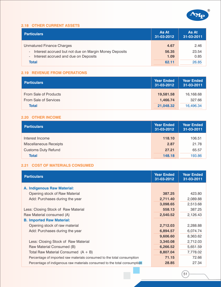

#### **2.18 OTHER CURRENT ASSETS**

| <b>Particulars</b>                                              | <b>As At</b><br>31-03-2012 | As At<br>31-03-2011 |
|-----------------------------------------------------------------|----------------------------|---------------------|
| <b>Unmatured Finance Charges</b>                                | 4.67                       | 2.46                |
| Interest accrued but not due on Margin Money Deposits<br>$\sim$ | 56.35                      | 23.54               |
| Interest accrued and due on Deposits<br>$\sim$                  | 1.09                       | 0.85                |
| Total                                                           | 62.11                      | 26.85               |

#### **2.19 REVENUE FROM OPERATIONS**

| <b>Particulars</b>    | <b>Year Ended</b><br>31-03-2012 | <b>Year Ended</b><br>$31 - 03 - 2011$ |
|-----------------------|---------------------------------|---------------------------------------|
| From Sale of Products | 19,581.58                       | 16,168.68                             |
| From Sale of Services | 1,466.74                        | 327.66                                |
| Total                 | 21,048.32                       | 16,496.34                             |

#### **2.20 OTHER INCOME**

| <b>Particulars</b>            | <b>Year Ended</b><br>31-03-2012 | <b>Year Ended</b><br>31-03-2011 |
|-------------------------------|---------------------------------|---------------------------------|
| Interest Income               | 118.10                          | 106.51                          |
| <b>Miscellaneous Receipts</b> | 2.87                            | 21.78                           |
| <b>Customs Duty Refund</b>    | 27.21                           | 65.57                           |
| <b>Total</b>                  | 148.18                          | 193.86                          |

#### **2.21 COST OF MATERIALS CONSUMED**

| <b>Particulars</b>                                                       | <b>Year Ended</b><br>31-03-2012 | <b>Year Ended</b><br>31-03-2011 |
|--------------------------------------------------------------------------|---------------------------------|---------------------------------|
| A. Indigenous Raw Material:                                              |                                 |                                 |
| Opening stock of Raw Material                                            | 387.25                          | 423.80                          |
| Add: Purchases during the year                                           | 2,711.40                        | 2,089.88                        |
|                                                                          | 3,098.65                        | 2,513.68                        |
| Less: Closing Stock of Raw Material                                      | 558.13                          | 387.25                          |
| Raw Material consumed (A)                                                | 2,540.52                        | 2,126.43                        |
| <b>B. Imported Raw Material:</b>                                         |                                 |                                 |
| Opening stock of raw material                                            | 2,712.03                        | 2,288.88                        |
| Add: Purchases during the year                                           | 6,894.57                        | 6,074.74                        |
|                                                                          | 9,606.60                        | 8,363.62                        |
| Less: Closing Stock of Raw Material                                      | 3,340.08                        | 2,712.03                        |
| Raw Material Consumed (B)                                                | 6,266.52                        | 5,651.59                        |
| Total Raw Material Consumed $(A + B)$                                    | 8,807.04                        | 7,778.02                        |
| Percentage of imported raw materials consumed to the total consumption   | 71.15                           | 72.66                           |
| Percentage of indigenous raw materials consumed to the total consumption | 28.85                           | 27.34                           |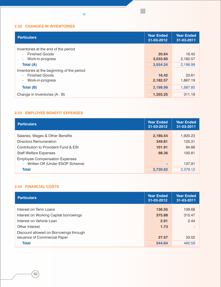#### **2.22 CHANGES IN INVENTORIES**

| <b>Particulars</b>                         | <b>Year Ended</b><br>31-03-2012 | <b>Year Ended</b><br>31-03-2011 |
|--------------------------------------------|---------------------------------|---------------------------------|
| Inventories at the end of the period       |                                 |                                 |
| <b>Finished Goods</b>                      | 20.64                           | 16.42                           |
| Work-in-progress                           | 3,533.60                        | 2,182.57                        |
| Total (A)                                  | 3,554.24                        | 2,198.99                        |
| Inventories at the beginning of the period |                                 |                                 |
| <b>Finished Goods</b>                      | 16.42                           | 20.61                           |
| Work-in-progress                           | 2,182.57                        | 1,867.19                        |
| Total (B)                                  | 2,198.99                        | 1,887.80                        |
| Change in Inventories (A - B)              | 1,355.25                        | 311.19                          |

 $\overline{\phantom{a}}$ 

#### **2.23 EMPLOYEE BENEFIT EXPENSES**

| <b>Year Ended</b><br>31-03-2012 | <b>Year Ended</b><br>31-03-2011 |
|---------------------------------|---------------------------------|
| 2,180.54                        | 1,920.23                        |
| 349.81                          | 125.31                          |
| 101.91                          | 94.86                           |
| 98.36                           | 100.81                          |
|                                 | 137.91                          |
| 2,730.62                        | 2,379.12                        |
|                                 | ۰                               |

#### **2.24 FINANCIAL COSTS**

| <b>Particulars</b>                     | <b>Year Ended</b><br>31-03-2012 | <b>Year Ended</b><br>31-03-2011 |
|----------------------------------------|---------------------------------|---------------------------------|
| Interest on Term Loans                 | 136.55                          | 109.66                          |
| Interest on Working Capital borrowings | 375.88                          | 315.47                          |
| Interest on Vehicle Loan               | 2.91                            | 2.44                            |
| Other Interest                         | 1.73                            | $\overline{\phantom{a}}$        |
| Discount allowed on Borrowings through |                                 |                                 |
| issuance of Commercial Paper           | 27.57                           | 33.02                           |
| <b>Total</b>                           | 544.64                          | 460.59                          |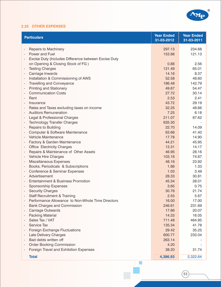

#### **2.25 OTHER EXPENSES**

| <b>Particulars</b>                                                         | <b>Year Ended</b><br>31-03-2012 | <b>Year Ended</b><br>31-03-2011 |
|----------------------------------------------------------------------------|---------------------------------|---------------------------------|
| Repairs to Machinery                                                       | 297.13                          | 234.68                          |
| Power and Fuel                                                             | 153.88                          | 121.13                          |
| Excise Duty (Includes Difference between Excise Duty                       |                                 |                                 |
| on Opening & Closing Stock of FG)                                          | 0.88                            | 2.56                            |
| <b>Testing Charges</b><br>$\overline{\phantom{a}}$                         | 121.49                          | 65.01                           |
| Carriage Inwards                                                           | 14.16                           | 8.37                            |
| Installation & Commissioning of AWS<br>$\overline{\phantom{a}}$            | 52.58                           | 48.60                           |
| <b>Travelling and Conveyance</b><br>$\overline{\phantom{a}}$               | 186.48                          | 142.79                          |
| <b>Printing and Stationery</b><br>$\overline{\phantom{a}}$                 | 49.67                           | 54.47                           |
| <b>Communication Costs</b><br>$\overline{\phantom{a}}$                     | 27.72                           | 30.14                           |
| Rent<br>$\qquad \qquad -$                                                  | 2.53                            | 2.41                            |
| Insurance                                                                  | 43.72                           | 29.19                           |
| Rates and Taxes excluding taxes on income                                  | 32.25                           | 48.66                           |
| <b>Auditors Remuneration</b><br>$\overline{\phantom{a}}$                   | 7.25                            | 6.18                            |
| Legal & Professional Charges<br>$\overline{\phantom{a}}$                   | 211.07                          | 87.62                           |
| <b>Technology Transfer Charges</b><br>$\overline{\phantom{a}}$             | 635.30                          |                                 |
| Repairs to Building<br>$\overline{\phantom{a}}$                            | 22.70                           | 14.09                           |
| Computer & Software Maintenance<br>$\qquad \qquad \blacksquare$            | 63.66                           | 41.40                           |
| Vehicle Maintenance                                                        | 17.78                           | 14.90                           |
| Factory & Garden Maintenance<br>$\overline{\phantom{a}}$                   | 44.21                           | 45.95                           |
| <b>Office Electricity Charges</b><br>$\qquad \qquad -$                     | 13.31                           | 14.17                           |
| Repairs & Maintenance of Other Assets<br>$\overline{\phantom{a}}$          | 46.95                           | 28.16                           |
| <b>Vehicle Hire Charges</b><br>$\overline{\phantom{a}}$                    | 103.16                          | 74.87                           |
| Miscellaneous Expenses<br>$\qquad \qquad \blacksquare$                     | 48.16                           | 23.92                           |
| Books, Periodicals & Subscriptions<br>$\overline{\phantom{a}}$             | 1.86                            | 1.33                            |
| <b>Conference &amp; Seminar Expenses</b><br>$\overline{\phantom{a}}$       | 1.03                            | 3.49                            |
| Advertisement                                                              | 28.33                           | 30.81                           |
| Entertainment & Business Promotion                                         | 45.34                           | 28.01                           |
| Sponsorship Expenses<br>$\overline{\phantom{a}}$                           | 3.65                            | 0.75                            |
| <b>Security Charges</b><br>$\qquad \qquad -$                               | 30.78                           | 21.74                           |
| <b>Staff Recruitment &amp; Training</b><br>$\overline{\phantom{m}}$        | 2.55                            | 5.67                            |
| Performance Allowance to Non-Whole Time Directors                          | 16.00                           | 17.00                           |
| <b>Bank Charges and Commission</b>                                         | 246.61                          | 231.69                          |
| <b>Carriage Outwards</b><br>$\overline{\phantom{a}}$                       | 17.86                           | 20.07                           |
| <b>Packing Material</b><br>$\qquad \qquad -$                               | 14.33                           | 16.05                           |
| Sales Tax / VAT                                                            | 711.48                          | 464.95                          |
| Service Tax                                                                | 135.34                          | 41.78                           |
| Foreign Exchange Fluctuations                                              | 29.42                           | 35.25                           |
| Late Delivery Charges<br>$\overline{\phantom{a}}$<br>Bad debts written off | 600.77                          | 233.04                          |
| $\overline{\phantom{a}}$                                                   | 263.14                          |                                 |
| <b>Order Booking Commission</b>                                            | 4.20                            |                                 |
| Foreign Travel and Exhibition Expenses<br>$\overline{\phantom{a}}$         | 38.20                           | 31.74                           |
| <b>Total</b>                                                               | 4,386.93                        | 2,322.64                        |

 $\Box$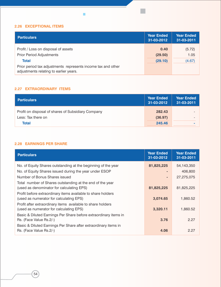#### **2.26 EXCEPTIONAL ITEMS**

| <b>Particulars</b>                                                                                     | <b>Year Ended</b><br>31-03-2012 | <b>Year Ended</b><br>31-03-2011 |
|--------------------------------------------------------------------------------------------------------|---------------------------------|---------------------------------|
| Profit / Loss on disposal of assets<br><b>Prior Period Adjustments</b>                                 | 0.40<br>(29.50)                 | (5.72)<br>1.05                  |
| <b>Total</b>                                                                                           | (29.10)                         | (4.67)                          |
| Prior period tax adjustments represents income tax and other<br>adjustments relating to earlier years. |                                 |                                 |

 $\overline{\phantom{a}}$ 

#### **2.27 EXTRAORDINARY ITEMS**

| <b>Particulars</b>                                 | <b>Year Ended</b><br>31-03-2012 | <b>Year Ended</b><br>31-03-2011 |
|----------------------------------------------------|---------------------------------|---------------------------------|
| Profit on disposal of shares of Subsidiary Company | 282.43                          |                                 |
| Less: Tax there on                                 | (36.97)                         |                                 |
| Total                                              | 245.46                          |                                 |

#### **2.28 EARNINGS PER SHARE**

| <b>Particulars</b>                                                                                      | <b>Year Ended</b><br>31-03-2012 | <b>Year Ended</b><br>31-03-2011 |
|---------------------------------------------------------------------------------------------------------|---------------------------------|---------------------------------|
| No. of Equity Shares outstanding at the beginning of the year                                           | 81,825,225                      | 54,143,350                      |
| No. of Equity Shares issued during the year under ESOP                                                  |                                 | 406,800                         |
| Number of Bonus Shares issued                                                                           |                                 | 27,275,075                      |
| Total number of Shares outstanding at the end of the year<br>(used as denominator for calculating EPS)  | 81,825,225                      | 81,825,225                      |
| Profit before extraordinary items available to share holders<br>(used as numerator for calculating EPS) | 3,074.65                        | 1,860.52                        |
| Profit after extraordinary items available to share holders<br>(used as numerator for calculating EPS)  | 3,320.11                        | 1,860.52                        |
| Basic & Diluted Earnings Per Share before extraordinary items in<br>Rs. (Face Value Rs.2/-)             | 3.76                            | 2.27                            |
| Basic & Diluted Earnings Per Share after extraordinary items in<br>Rs. (Face Value Rs.2/-)              | 4.06                            | 2.27                            |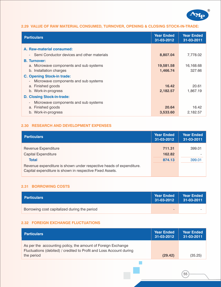

 $(55)$ 

#### **2.29 VALUE OF RAW MATERIAL CONSUMED, TURNOVER, OPENING & CLOSING STOCK-IN-TRADE:**

| <b>Particulars</b>                                               | <b>Year Ended</b><br>31-03-2012 | <b>Year Ended</b><br>31-03-2011 |
|------------------------------------------------------------------|---------------------------------|---------------------------------|
| A. Raw-material consumed:                                        |                                 |                                 |
| - Semi Conductor devices and other materials                     | 8,807.04                        | 7,778.02                        |
| <b>B.</b> Turnover:                                              |                                 |                                 |
| a. Microwave components and sub systems                          | 19,581.58                       | 16,168.68                       |
| b. Installation charges                                          | 1,466.74                        | 327.66                          |
| <b>C. Opening Stock-in trade:</b>                                |                                 |                                 |
| Microwave components and sub systems<br>$\overline{\phantom{a}}$ |                                 |                                 |
| a. Finished goods                                                | 16.42                           | 20.61                           |
| b. Work-in-progress                                              | 2,182.57                        | 1,867.19                        |
| D. Closing Stock-in-trade:                                       |                                 |                                 |
| Microwave components and sub systems<br>$\overline{\phantom{a}}$ |                                 |                                 |
| a. Finished goods                                                | 20.64                           | 16.42                           |
| b. Work-in-progress                                              | 3,533.60                        | 2,182.57                        |

#### **2.30 RESEARCH AND DEVELOPMENT EXPENSES**

| <b>Particulars</b>                                                                                                              | <b>Year Ended</b><br>31-03-2012 | <b>Year Ended</b><br>31-03-2011 |
|---------------------------------------------------------------------------------------------------------------------------------|---------------------------------|---------------------------------|
| Revenue Expenditure                                                                                                             | 711.31                          | 399.01                          |
| <b>Capital Expenditure</b>                                                                                                      | 162.82                          | $\overline{\phantom{0}}$        |
| <b>Total</b>                                                                                                                    | 874.13                          | 399.01                          |
| Revenue expenditure is shown under respective heads of expenditure.<br>Capital expenditure is shown in respective Fixed Assets. |                                 |                                 |
|                                                                                                                                 |                                 |                                 |

#### **2.31 BORROWING COSTS**

| <b>Particulars</b>                           | <b>Year Ended</b><br>31-03-2012 | <b>Year Ended</b><br>31-03-2011 |
|----------------------------------------------|---------------------------------|---------------------------------|
| Borrowing cost capitalized during the period | $\overline{\phantom{a}}$        |                                 |

#### **2.32 FOREIGN EXCHANGE FLUCTUATIONS**

| <b>Particulars</b>                                                                                                                                | <b>Year Ended</b><br>31-03-2012 | <b>Year Ended</b><br>31-03-2011 |
|---------------------------------------------------------------------------------------------------------------------------------------------------|---------------------------------|---------------------------------|
| As per the accounting policy, the amount of Foreign Exchange<br>Fluctuations (debited) / credited to Profit and Loss Account during<br>the period | (29.42)                         | (35.25)                         |
|                                                                                                                                                   |                                 |                                 |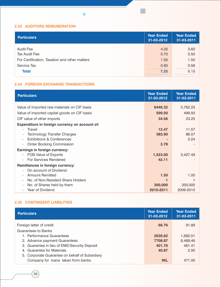#### **2.33 AUDITORS REMUNERATION**

| <b>Particulars</b>                            | <b>Year Ended</b><br>31-03-2012 | <b>Year Ended</b><br>31-03-2011 |
|-----------------------------------------------|---------------------------------|---------------------------------|
| Audit Fee<br><b>Tax Audit Fee</b>             | 4.25<br>0.70                    | 3.60<br>0.50                    |
| For Certification, Taxation and other matters | 1.50                            | 1.50                            |
| Service Tax                                   | 0.80                            | 0.58                            |
| <b>Total</b>                                  | 7.25                            | 6.18                            |

#### **2.34 FOREIGN EXCHANGE TRANSACTIONS**

| <b>Particulars</b>                             | <b>Year Ended</b><br>31-03-2012 | <b>Year Ended</b><br>31-03-2011 |
|------------------------------------------------|---------------------------------|---------------------------------|
| Value of imported raw-materials on CIF basis   | 6446.32                         | 5,762.23                        |
| Value of imported capital goods on CIF basis   | 599.50                          | 499.93                          |
| CIF value of other imports                     | 34.56                           | 23.25                           |
| Expenditure in foreign currency on account of: |                                 |                                 |
| Travel                                         | 12.47                           | 11.57                           |
| <b>Technology Transfer Charges</b>             | 383.90                          | 86.07                           |
| <b>Exhibitions &amp; Conferences</b>           |                                 | 0.24                            |
| <b>Order Booking Commission</b>                | 3.78                            |                                 |
| Earnings in foreign currency:                  |                                 |                                 |
| FOB Value of Exports                           | 1,523.00                        | 3,427.49                        |
| For Services Rendered                          | 42.11                           |                                 |
| <b>Remittances in foreign currency:</b>        |                                 |                                 |
| On account of Dividend:                        |                                 |                                 |
| <b>Amount Remitted</b>                         | 1.50                            | 1.00                            |
| No. of Non-Resident Share Holders              |                                 |                                 |
| No. of Shares held by them                     | 300,000                         | 200,000                         |
| Year of Dividend                               | 2010-2011                       | 2009-2010                       |

#### **2.35 CONTINGENT LIABILITIES**

56

| <b>Particulars</b>                             | <b>Year Ended</b><br>31-03-2012 | <b>Year Ended</b><br>31-03-2011 |
|------------------------------------------------|---------------------------------|---------------------------------|
| Foreign letter of credit                       | 66.76                           | 91.89                           |
| Guarantees to Banks                            |                                 |                                 |
| 1. Performance Guarantees                      | 2639.62                         | 1,692.01                        |
| 2. Advance payment Guarantees                  | 7708.87                         | 8,489.46                        |
| 3. Guarantee in lieu of EMD/Security Deposit   | 401.76                          | 461.41                          |
| 4. Guarantee for Materials                     | 40.87                           | 2.00                            |
| 5. Corporate Guarantee on behalf of Subsidiary |                                 |                                 |
| Company for loans taken from banks             | <b>NIL</b>                      | 471.00                          |

 $\overline{\phantom{a}}$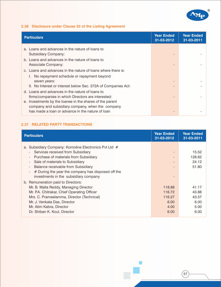

#### **2.36 Disclosure under Clause 32 of the Listing Agreement**

| <b>Particulars</b>                                                                                                                                                | <b>Year Ended</b><br>31-03-2012 | <b>Year Ended</b><br>31-03-2011 |
|-------------------------------------------------------------------------------------------------------------------------------------------------------------------|---------------------------------|---------------------------------|
| a. Loans and advances in the nature of loans to<br><b>Subsidiary Company:</b>                                                                                     |                                 |                                 |
| b. Loans and advances in the nature of loans to<br>Associate Company:                                                                                             |                                 |                                 |
| Loans and advances in the nature of loans where there is:                                                                                                         |                                 |                                 |
| No repayment schedule or repayment beyond<br>seven years:<br>II. No Interest or interest below Sec. 372A of Companies Act:                                        |                                 |                                 |
| d. Loans and advances in the nature of loans to<br>firms/companies in which Directors are interested:<br>e. Investments by the loanee in the shares of the parent |                                 |                                 |
| company and subsidiary company, when the company<br>has made a loan or advance in the nature of loan                                                              |                                 |                                 |

#### **2.37 RELATED PARTY TRANSACTIONS**

| <b>Particulars</b>                                                                                                                                                                                                                                                                                                                                                                        | <b>Year Ended</b><br>31-03-2012                    | <b>Year Ended</b><br>31-03-2011                 |
|-------------------------------------------------------------------------------------------------------------------------------------------------------------------------------------------------------------------------------------------------------------------------------------------------------------------------------------------------------------------------------------------|----------------------------------------------------|-------------------------------------------------|
| a. Subsidiary Company: Komoline Electronics Pvt Ltd #<br>- Services received from Subsidiary<br>Purchase of materials from Subsidiary<br>$\overline{\phantom{a}}$<br>Sale of materials to Subsidiary<br>$\sim$<br>Balance receivable from Subsidiary<br>$\overline{\phantom{a}}$<br># During the year the company has disposed off the<br>$\sim$<br>investments in the subsidiary company |                                                    | 15.52<br>128.62<br>24.12<br>51.80               |
| b. Remuneration paid to Directors:<br>Mr. B. Malla Reddy, Managing Director<br>Mr. P.A. Chitrakar, Chief Operating Officer<br>Mrs. C. Prameelamma, Director (Technical)<br>Mr. J. Venkata Das, Director<br>Mr. Atim Kabra, Director<br>Dr. Shiban K. Koul, Director                                                                                                                       | 118.88<br>116.72<br>116.27<br>6.00<br>4.00<br>6.00 | 41.17<br>43.88<br>43.57<br>6.00<br>5.00<br>6.00 |

 $\mathbb{R}^3$ 

e.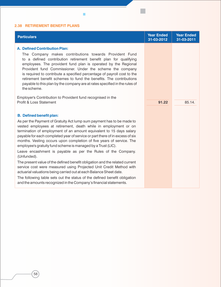#### **2.38 RETIREMENT BENEFIT PLANS**

 $\mathcal{L}_{\mathcal{A}}$ 

| <b>Particulars</b>                                                                                                                                                                                                                                                                                                                                                                                                                                                                                                                                                                                                                                                                                                                                                                                                                                                                                                                     | <b>Year Ended</b><br>31-03-2012 | <b>Year Ended</b><br>31-03-2011 |
|----------------------------------------------------------------------------------------------------------------------------------------------------------------------------------------------------------------------------------------------------------------------------------------------------------------------------------------------------------------------------------------------------------------------------------------------------------------------------------------------------------------------------------------------------------------------------------------------------------------------------------------------------------------------------------------------------------------------------------------------------------------------------------------------------------------------------------------------------------------------------------------------------------------------------------------|---------------------------------|---------------------------------|
| A. Defined Contribution Plan:<br>The Company makes contributions towards Provident Fund<br>to a defined contribution retirement benefit plan for qualifying<br>employees. The provident fund plan is operated by the Regional<br>Provident fund Commissioner. Under the scheme the company<br>is required to contribute a specified percentage of payroll cost to the<br>retirement benefit schemes to fund the benefits. The contributions<br>payable to this plan by the company are at rates specified in the rules of<br>the scheme.                                                                                                                                                                                                                                                                                                                                                                                               |                                 |                                 |
| Employer's Contribution to Provident fund recognised in the<br><b>Profit &amp; Loss Statement</b>                                                                                                                                                                                                                                                                                                                                                                                                                                                                                                                                                                                                                                                                                                                                                                                                                                      | 91.22                           | 85.14.                          |
| <b>B. Defined benefit plan:</b><br>As per the Payment of Gratuity Act lump sum payment has to be made to<br>vested employees at retirement, death while in employment or on<br>termination of employment of an amount equivalent to 15 days salary<br>payable for each completed year of service or part there of in excess of six<br>months. Vesting occurs upon completion of five years of service. The<br>employee's gratuity fund scheme is managed by a Trust (LIC).<br>Leave encashment is payable as per the Rules of the Company.<br>(Unfunded).<br>The present value of the defined benefit obligation and the related current<br>service cost were measured using Projected Unit Credit Method with<br>actuarial valuations being carried out at each Balance Sheet date.<br>The following table sets out the status of the defined benefit obligation<br>and the amounts recognized in the Company's financial statements. |                                 |                                 |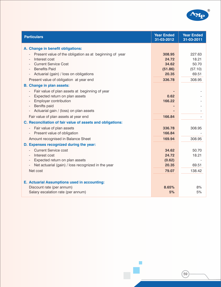

 $\mathbb{R}^n$ 

<u>tan</u>

| <b>Particulars</b>                                                                                                                                                                                                                                                                                                                                                                                                                                                                                                   | <b>Year Ended</b><br>31-03-2012                                                    | <b>Year Ended</b><br>31-03-2011                        |
|----------------------------------------------------------------------------------------------------------------------------------------------------------------------------------------------------------------------------------------------------------------------------------------------------------------------------------------------------------------------------------------------------------------------------------------------------------------------------------------------------------------------|------------------------------------------------------------------------------------|--------------------------------------------------------|
| A. Change in benefit obligations:<br>Present value of the obligation as at beginning of year<br>Interest cost<br><b>Current Service Cost</b><br><b>Benefits Paid</b><br>Actuarial (gain) / loss on obligations<br>Present value of obligation at year end<br><b>B. Change in plan assets:</b><br>Fair value of plan assets at beginning of year<br>Expected return on plan assets<br>Employer contribution<br><b>Benifts paid</b><br>Actuarial gain / (loss) on plan assets<br>Fair value of plan assets at year end | 308.95<br>24.72<br>34.62<br>(51.86)<br>20.35<br>336.78<br>0.62<br>166.22<br>166.84 | 227.63<br>18.21<br>50.70<br>(57.10)<br>69.51<br>308.95 |
| C. Reconciliation of fair value of assets and obligations:<br>Fair value of plan assets<br>Present value of obligation<br>Amount recognised in Balance Sheet                                                                                                                                                                                                                                                                                                                                                         | 336.78<br>166.84<br>169.94                                                         | 308.95<br>308.95                                       |
| D. Expenses recognized during the year:<br><b>Current Service cost</b><br>Interest cost<br>Expected return on plan assets<br>Net actuarial (gain) / loss recognized in the year<br>Net cost                                                                                                                                                                                                                                                                                                                          | 34.62<br>24.72<br>(0.62)<br>20.35<br>79.07                                         | 50.70<br>18.21<br>69.51<br>138.42                      |
| E. Actuarial Assumptions used in accounting:<br>Discount rate (per annum)<br>Salary escalation rate (per annum)                                                                                                                                                                                                                                                                                                                                                                                                      | 8.65%<br>5%                                                                        | 8%<br>5%                                               |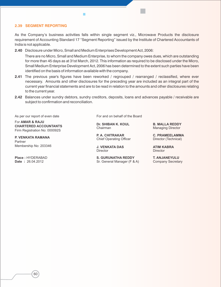#### **2.39 SEGMENT REPORTING**

As the Company's business activities falls within single segment viz., Microwave Products the disclosure requirement of Accounting Standard 17 "Segment Reporting" issued by the Institute of Chartered Accountants of India is not applicable.

**2.40** Disclosure under Micro, Small and Medium Enterprises Development Act, 2006:

 $\mathbb{R}^n$ 

There are no Micro, Small and Medium Enterprise, to whom the company owes dues, which are outstanding for more than 45 days as at 31st March, 2012. This information as required to be disclosed under the Micro, Small Medium Enterprise Development Act, 2006 has been determined to the extent such parties have been identified on the basis of information available with the company.

- **2.41** The previous year's figures have been reworked / regrouped / rearranged / reclassified, where ever necessary. Amounts and other disclosures for the preceding year are included as an integral part of the current year financial statements and are to be read in relation to the amounts and other disclosures relating to the current year.
- **2.42** Balances under sundry debtors, sundry creditors, deposits, loans and advances payable / receivable are subject to confirmation and reconciliation.

As per our report of even date

For **AMAR & RAJU CHARTERED ACCOUNTANTS** Firm Registration No: 000092S

**P. VENKATA RAMANA** Partner Membership No: 203346

**Place :** HYDERABAD **Date :** 26.04.2012

For and on behalf of the Board

**Dr. SHIBAN K. KOUL** Chairman

**P. A. CHITRAKAR** Chief Operating Officer

**J. VENKATA DAS Director** 

**S. GURUNATHA REDDY** Sr. General Manager (F & A) **B. MALLA REDDY** Managing Director

**C. PRAMEELAMMA** Director (Technical)

**ATIM KABRA Director** 

**T. ANJANEYULU** Company Secretary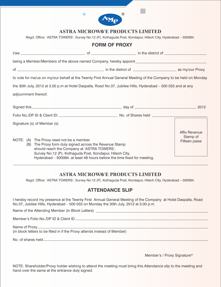

 $\mathcal{L}_{\mathcal{A}}$ 

#### **ASTRA MICROWAVE PRODUCTS LIMITED**

Regd. Office: 'ASTRA TOWERS', Survey No:12 (P), Kothaguda Post, Kondapur, Hitech City, Hyderabad – 500084.

#### **FORM OF PROXY**

|                                                                                                                   | being a Member/Members of the above named Company, hereby appoint___________________________________                                                                                                                                                                                        |  |                                                   |  |
|-------------------------------------------------------------------------------------------------------------------|---------------------------------------------------------------------------------------------------------------------------------------------------------------------------------------------------------------------------------------------------------------------------------------------|--|---------------------------------------------------|--|
|                                                                                                                   |                                                                                                                                                                                                                                                                                             |  |                                                   |  |
| to vote for me/us on my/our behalf at the Twenty First Annual General Meeting of the Company to be held on Monday |                                                                                                                                                                                                                                                                                             |  |                                                   |  |
|                                                                                                                   | the 30th July, 2012 at 3.00 p.m at Hotel Daspalla, Road No:37, Jubilee Hills, Hyderabad - 500 033 and at any                                                                                                                                                                                |  |                                                   |  |
| adjournment thereof.                                                                                              |                                                                                                                                                                                                                                                                                             |  |                                                   |  |
|                                                                                                                   |                                                                                                                                                                                                                                                                                             |  |                                                   |  |
|                                                                                                                   | Signed this 2012                                                                                                                                                                                                                                                                            |  |                                                   |  |
|                                                                                                                   |                                                                                                                                                                                                                                                                                             |  |                                                   |  |
| Signature (s) of Member (s)                                                                                       |                                                                                                                                                                                                                                                                                             |  |                                                   |  |
|                                                                                                                   | NOTE: (A) The Proxy need not be a member.<br>(B) The Proxy form duly signed across the Revenue Stamp<br>should reach the Company at 'ASTRA TOWERS',<br>Survey No:12 (P), Kothaguda Post, Kondapur, Hitech City,<br>Hyderabad - 500084. at least 48 hours before the time fixed for meeting. |  | <b>Affix Revenue</b><br>Stamp of<br>Fifteen paise |  |

#### **ASTRA MICROWAVE PRODUCTS LIMITED**

Regd. Office: 'ASTRA TOWERS', Survey No:12 (P), Kothaguda Post, Kondapur, Hitech City, Hyderabad – 500084.

#### **ATTENDANCE SLIP**

I hereby record my presence at the Twenty First Annual General Meeting of the Company at Hotel Daspalla, Road No:37, Jubilee Hills, Hyderabad – 500 033 on Monday the 30th July, 2012 at 3.00 p.m.

Name of the Attending Member (in Block Letters) **Communist Containers** and the extension of the Attending Member (in Block Letters)

Member's Folio No./DP ID & Client ID

Name of Proxy (in block letters to be filled in if the Proxy attends instead of Member)

No. of shares held

Member's / Proxy Signature\*

NOTE: Shareholder/Proxy holder wishing to attend the meeting must bring this Attendance slip to the meeting and hand over the same at the entrance duly signed.